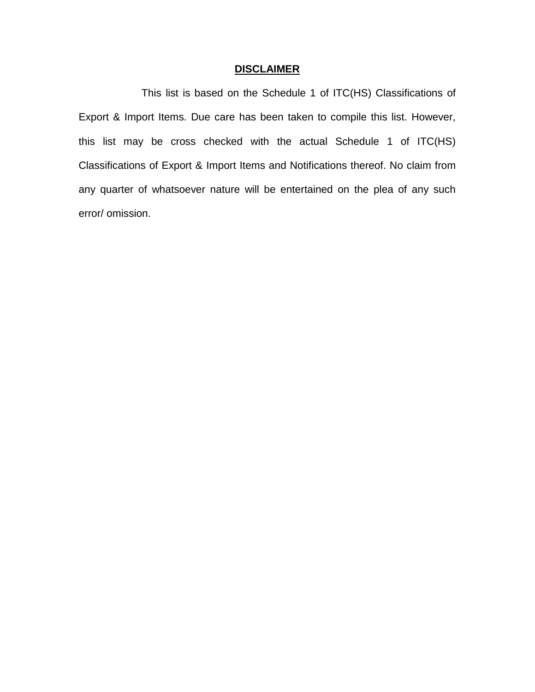## **DISCLAIMER**

This list is based on the Schedule 1 of ITC(HS) Classifications of Export & Import Items. Due care has been taken to compile this list. However, this list may be cross checked with the actual Schedule 1 of ITC(HS) Classifications of Export & Import Items and Notifications thereof. No claim from any quarter of whatsoever nature will be entertained on the plea of any such error/ omission.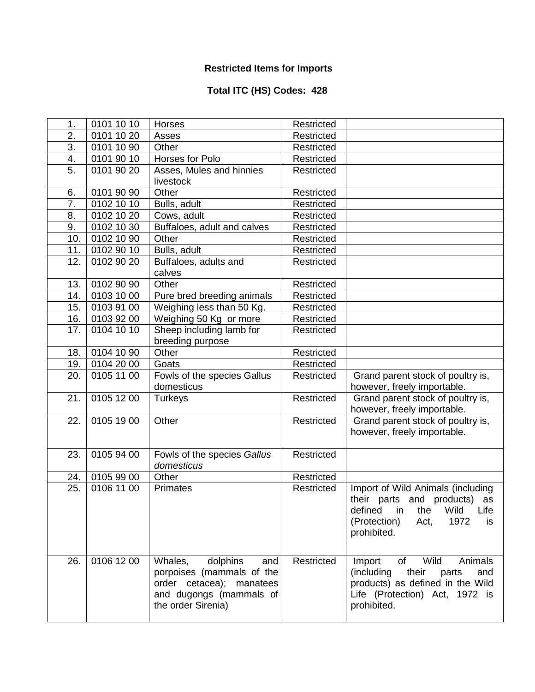## **Restricted Items for Imports**

## **Total ITC (HS) Codes: 428**

| 1.               | 0101 10 10              | Horses                      | Restricted |                                      |
|------------------|-------------------------|-----------------------------|------------|--------------------------------------|
| $\overline{2}$ . | 0101 10 20              | Asses                       | Restricted |                                      |
| 3.               | 0101 10 90              | Other                       | Restricted |                                      |
| 4.               | 0101 90 10              | Horses for Polo             | Restricted |                                      |
| 5.               | 0101 90 20              | Asses, Mules and hinnies    | Restricted |                                      |
|                  |                         | livestock                   |            |                                      |
| 6.               | 0101 90 90              | Other                       | Restricted |                                      |
| $\overline{7}$ . | $\overline{0102}$ 10 10 | Bulls, adult                | Restricted |                                      |
| 8.               | 0102 10 20              | Cows, adult                 | Restricted |                                      |
| 9.               | 0102 10 30              | Buffaloes, adult and calves | Restricted |                                      |
| 10.              | 0102 10 90              | Other                       | Restricted |                                      |
| 11.              | 0102 90 10              | Bulls, adult                | Restricted |                                      |
| 12.              | 0102 90 20              | Buffaloes, adults and       | Restricted |                                      |
|                  |                         | calves                      |            |                                      |
| 13.              | 0102 90 90              | Other                       | Restricted |                                      |
| 14.              | 0103 10 00              | Pure bred breeding animals  | Restricted |                                      |
| 15.              | 0103 91 00              | Weighing less than 50 Kg.   | Restricted |                                      |
| 16.              | 0103 92 00              | Weighing 50 Kg or more      | Restricted |                                      |
| 17.              | 0104 10 10              | Sheep including lamb for    | Restricted |                                      |
|                  |                         | breeding purpose            |            |                                      |
| 18.              | 0104 10 90              | Other                       | Restricted |                                      |
| 19.              | 0104 20 00              | Goats                       | Restricted |                                      |
| 20.              | 0105 11 00              | Fowls of the species Gallus | Restricted | Grand parent stock of poultry is,    |
|                  |                         | domesticus                  |            | however, freely importable.          |
| 21.              | 0105 12 00              | <b>Turkeys</b>              | Restricted | Grand parent stock of poultry is,    |
|                  |                         |                             |            | however, freely importable.          |
| 22.              | 0105 19 00              | Other                       | Restricted | Grand parent stock of poultry is,    |
|                  |                         |                             |            | however, freely importable.          |
|                  |                         |                             |            |                                      |
| 23.              | 0105 94 00              | Fowls of the species Gallus | Restricted |                                      |
|                  |                         | domesticus                  |            |                                      |
| 24.              | 0105 99 00              | Other                       | Restricted |                                      |
| 25.              | 0106 11 00              | <b>Primates</b>             | Restricted | Import of Wild Animals (including    |
|                  |                         |                             |            | their parts and products) as         |
|                  |                         |                             |            | defined<br>the<br>Wild<br>Life<br>ın |
|                  |                         |                             |            | 1972<br>(Protection)<br>Act,<br>is   |
|                  |                         |                             |            | prohibited.                          |
|                  |                         |                             |            |                                      |
| 26.              | 0106 12 00              | dolphins<br>Whales,<br>and  | Restricted | Wild<br>Animals<br>Import<br>of      |
|                  |                         | porpoises (mammals of the   |            | (including)<br>their<br>parts<br>and |
|                  |                         | order cetacea); manatees    |            | products) as defined in the Wild     |
|                  |                         | and dugongs (mammals of     |            | Life (Protection) Act, 1972 is       |
|                  |                         | the order Sirenia)          |            | prohibited.                          |
|                  |                         |                             |            |                                      |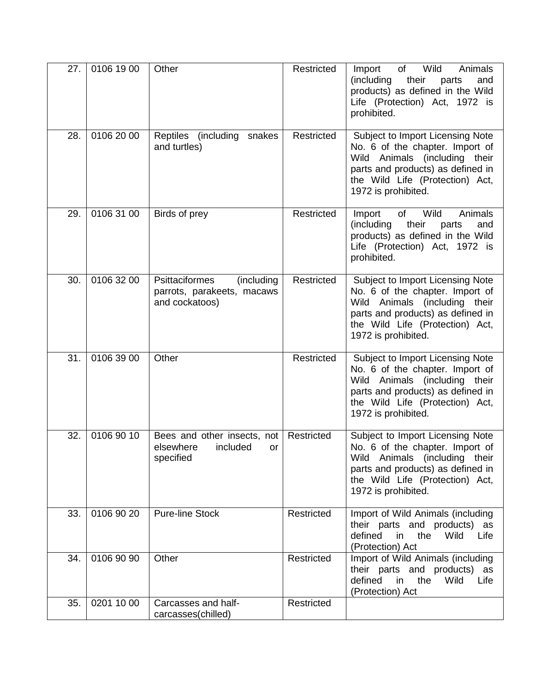| 27. | 0106 19 00 | Other                                                                        | Restricted | Wild<br>Animals<br>of<br>Import<br>(including<br>their<br>parts<br>and<br>products) as defined in the Wild<br>Life (Protection) Act, 1972 is<br>prohibited.                                         |
|-----|------------|------------------------------------------------------------------------------|------------|-----------------------------------------------------------------------------------------------------------------------------------------------------------------------------------------------------|
| 28. | 0106 20 00 | Reptiles<br>(including<br>snakes<br>and turtles)                             | Restricted | Subject to Import Licensing Note<br>No. 6 of the chapter. Import of<br>Wild Animals (including their<br>parts and products) as defined in<br>the Wild Life (Protection) Act,<br>1972 is prohibited. |
| 29. | 0106 31 00 | Birds of prey                                                                | Restricted | Wild<br>Animals<br>Import<br>of<br>(including<br>their<br>parts<br>and<br>products) as defined in the Wild<br>Life (Protection) Act, 1972 is<br>prohibited.                                         |
| 30. | 0106 32 00 | Psittaciformes<br>(including<br>parrots, parakeets, macaws<br>and cockatoos) | Restricted | Subject to Import Licensing Note<br>No. 6 of the chapter. Import of<br>Wild Animals (including their<br>parts and products) as defined in<br>the Wild Life (Protection) Act,<br>1972 is prohibited. |
| 31. | 0106 39 00 | Other                                                                        | Restricted | Subject to Import Licensing Note<br>No. 6 of the chapter. Import of<br>Wild Animals (including their<br>parts and products) as defined in<br>the Wild Life (Protection) Act,<br>1972 is prohibited. |
| 32. | 0106 90 10 | Bees and other insects, not<br>elsewhere<br>included<br>or<br>specified      | Restricted | Subject to Import Licensing Note<br>No. 6 of the chapter. Import of<br>Wild Animals (including their<br>parts and products) as defined in<br>the Wild Life (Protection) Act,<br>1972 is prohibited. |
| 33. | 0106 90 20 | <b>Pure-line Stock</b>                                                       | Restricted | Import of Wild Animals (including<br>their parts and products) as<br>defined<br>in<br>the<br>Wild<br>Life<br>(Protection) Act                                                                       |
| 34. | 0106 90 90 | Other                                                                        | Restricted | Import of Wild Animals (including<br>their parts and products) as<br>defined<br>in<br>the<br>Wild<br>Life<br>(Protection) Act                                                                       |
| 35. | 0201 10 00 | Carcasses and half-<br>carcasses(chilled)                                    | Restricted |                                                                                                                                                                                                     |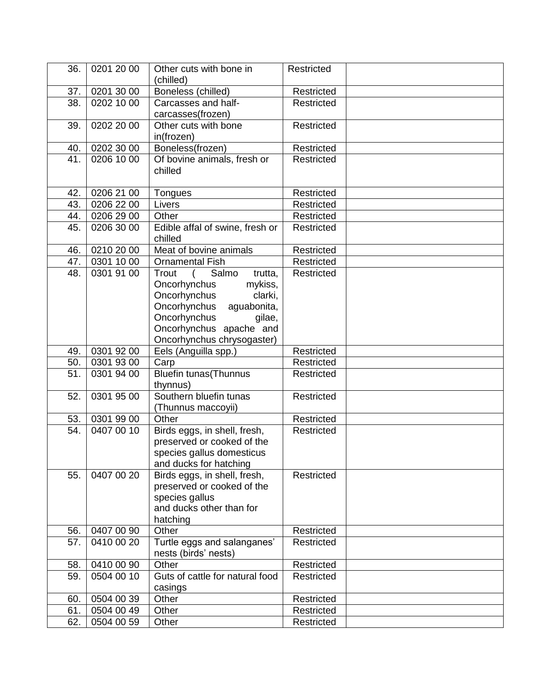| 36.        | 0201 20 00               | Other cuts with bone in                             | Restricted |  |
|------------|--------------------------|-----------------------------------------------------|------------|--|
|            |                          | (chilled)                                           |            |  |
| 37.        | 0201 30 00               | Boneless (chilled)                                  | Restricted |  |
| 38.        | 0202 10 00               | Carcasses and half-                                 | Restricted |  |
|            |                          | carcasses(frozen)                                   |            |  |
| 39.        | 0202 20 00               | Other cuts with bone                                | Restricted |  |
|            |                          | in(frozen)                                          |            |  |
| 40.<br>41. | 0202 30 00<br>0206 10 00 | Boneless(frozen)                                    | Restricted |  |
|            |                          | Of bovine animals, fresh or<br>chilled              | Restricted |  |
|            |                          |                                                     |            |  |
| 42.        | 0206 21 00               | Tongues                                             | Restricted |  |
| 43.        | 0206 22 00               | Livers                                              | Restricted |  |
| 44.        | 0206 29 00               | Other                                               | Restricted |  |
| 45.        | 0206 30 00               | Edible affal of swine, fresh or                     | Restricted |  |
|            |                          | chilled                                             |            |  |
| 46.        | 0210 20 00               | Meat of bovine animals                              | Restricted |  |
| 47.        | 0301 10 00               | <b>Ornamental Fish</b>                              | Restricted |  |
| 48.        | 0301 91 00               | Salmo<br>trutta,<br>Trout                           | Restricted |  |
|            |                          | Oncorhynchus<br>mykiss,                             |            |  |
|            |                          | Oncorhynchus<br>clarki,                             |            |  |
|            |                          | Oncorhynchus<br>aguabonita,                         |            |  |
|            |                          | Oncorhynchus<br>gilae,                              |            |  |
|            |                          | Oncorhynchus apache and                             |            |  |
|            |                          | Oncorhynchus chrysogaster)                          |            |  |
| 49.        | 0301 92 00               | Eels (Anguilla spp.)                                | Restricted |  |
| 50.        | 0301 93 00               | Carp                                                | Restricted |  |
| 51.        | 0301 94 00               | Bluefin tunas (Thunnus<br>thynnus)                  | Restricted |  |
| 52.        | 0301 95 00               | Southern bluefin tunas                              | Restricted |  |
|            |                          | (Thunnus maccoyii)                                  |            |  |
| 53.        | 0301 99 00               | Other                                               | Restricted |  |
| 54.        | 0407 00 10               | Birds eggs, in shell, fresh,                        | Restricted |  |
|            |                          | preserved or cooked of the                          |            |  |
|            |                          | species gallus domesticus                           |            |  |
|            |                          | and ducks for hatching                              |            |  |
| 55.        | 0407 00 20               | Birds eggs, in shell, fresh,                        | Restricted |  |
|            |                          | preserved or cooked of the                          |            |  |
|            |                          | species gallus                                      |            |  |
|            |                          | and ducks other than for                            |            |  |
|            |                          | hatching                                            |            |  |
| 56.        | 0407 00 90               | Other                                               | Restricted |  |
| 57.        | 0410 00 20               | Turtle eggs and salanganes'<br>nests (birds' nests) | Restricted |  |
| 58.        | 0410 00 90               | Other                                               | Restricted |  |
| 59.        | 0504 00 10               | Guts of cattle for natural food                     | Restricted |  |
|            |                          | casings                                             |            |  |
| 60.        | 0504 00 39               | Other                                               | Restricted |  |
| 61.        | 0504 00 49               | Other                                               | Restricted |  |
| 62.        | 0504 00 59               | Other                                               | Restricted |  |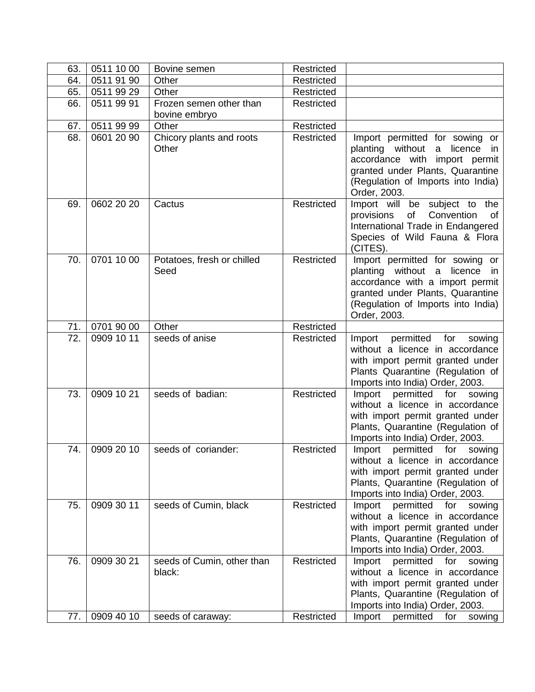| 63. | 0511 10 00 | Bovine semen                         | Restricted        |                                                                                                                                                                                                               |
|-----|------------|--------------------------------------|-------------------|---------------------------------------------------------------------------------------------------------------------------------------------------------------------------------------------------------------|
| 64. | 0511 91 90 | Other                                | Restricted        |                                                                                                                                                                                                               |
| 65. | 0511 99 29 | Other                                | Restricted        |                                                                                                                                                                                                               |
| 66. | 0511 99 91 | Frozen semen other than              | Restricted        |                                                                                                                                                                                                               |
|     |            | bovine embryo                        |                   |                                                                                                                                                                                                               |
| 67. | 0511 99 99 | Other                                | Restricted        |                                                                                                                                                                                                               |
| 68. | 0601 20 90 | Chicory plants and roots<br>Other    | Restricted        | Import permitted for sowing or<br>planting without<br>licence<br>a<br><i>in</i><br>accordance with<br>import permit<br>granted under Plants, Quarantine<br>(Regulation of Imports into India)<br>Order, 2003. |
| 69. | 0602 20 20 | Cactus                               | Restricted        | Import will be<br>subject to<br>the<br>Convention<br>provisions<br>of<br>0f<br>International Trade in Endangered<br>Species of Wild Fauna & Flora<br>(CITES).                                                 |
| 70. | 0701 10 00 | Potatoes, fresh or chilled<br>Seed   | Restricted        | Import permitted for sowing or<br>planting without a licence<br>- in<br>accordance with a import permit<br>granted under Plants, Quarantine<br>(Regulation of Imports into India)<br>Order, 2003.             |
| 71. | 0701 90 00 | Other                                | Restricted        |                                                                                                                                                                                                               |
| 72. | 0909 10 11 | seeds of anise                       | Restricted        | permitted<br>for<br>Import<br>sowing<br>without a licence in accordance<br>with import permit granted under<br>Plants Quarantine (Regulation of<br>Imports into India) Order, 2003.                           |
| 73. | 0909 10 21 | seeds of badian:                     | Restricted        | Import<br>permitted<br>for<br>sowing<br>without a licence in accordance<br>with import permit granted under<br>Plants, Quarantine (Regulation of<br>Imports into India) Order, 2003.                          |
| 74. | 0909 20 10 | seeds of coriander:                  | <b>Restricted</b> | Import<br>permitted<br>for<br>sowing<br>without a licence in accordance<br>with import permit granted under<br>Plants, Quarantine (Regulation of<br>Imports into India) Order, 2003.                          |
| 75. | 0909 30 11 | seeds of Cumin, black                | Restricted        | Import<br>permitted<br>for<br>sowing<br>without a licence in accordance<br>with import permit granted under<br>Plants, Quarantine (Regulation of<br>Imports into India) Order, 2003.                          |
| 76. | 0909 30 21 | seeds of Cumin, other than<br>black: | Restricted        | Import<br>permitted<br>for<br>sowing<br>without a licence in accordance<br>with import permit granted under<br>Plants, Quarantine (Regulation of<br>Imports into India) Order, 2003.                          |
| 77. | 0909 40 10 | seeds of caraway:                    | Restricted        | Import<br>permitted<br>for<br>sowing                                                                                                                                                                          |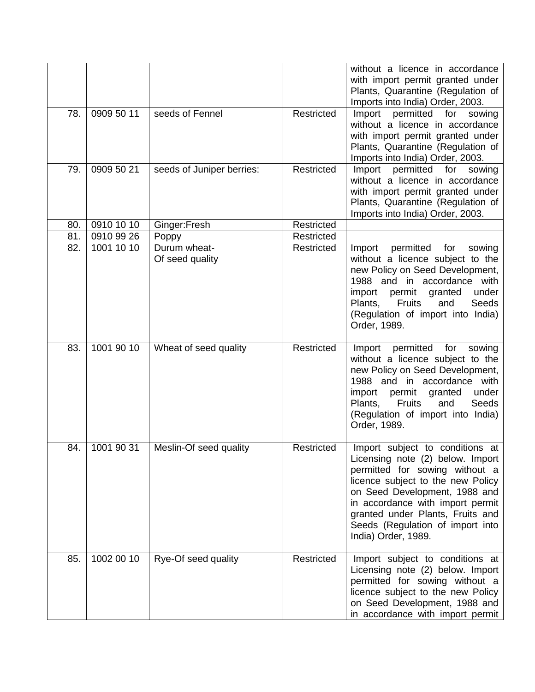|     |            |                                 |            | without a licence in accordance<br>with import permit granted under<br>Plants, Quarantine (Regulation of<br>Imports into India) Order, 2003.                                                                                                                                                                   |
|-----|------------|---------------------------------|------------|----------------------------------------------------------------------------------------------------------------------------------------------------------------------------------------------------------------------------------------------------------------------------------------------------------------|
| 78. | 0909 50 11 | seeds of Fennel                 | Restricted | Import permitted for<br>sowing<br>without a licence in accordance<br>with import permit granted under<br>Plants, Quarantine (Regulation of<br>Imports into India) Order, 2003.                                                                                                                                 |
| 79. | 0909 50 21 | seeds of Juniper berries:       | Restricted | permitted<br>Import<br>for<br>sowing<br>without a licence in accordance<br>with import permit granted under<br>Plants, Quarantine (Regulation of<br>Imports into India) Order, 2003.                                                                                                                           |
| 80. | 0910 10 10 | Ginger:Fresh                    | Restricted |                                                                                                                                                                                                                                                                                                                |
| 81. | 0910 99 26 | Poppy                           | Restricted |                                                                                                                                                                                                                                                                                                                |
| 82. | 1001 10 10 | Durum wheat-<br>Of seed quality | Restricted | permitted<br>Import<br>for<br>sowing<br>without a licence subject to the<br>new Policy on Seed Development,<br>1988 and in accordance with<br>under<br>import<br>permit<br>granted<br><b>Fruits</b><br>Plants,<br>Seeds<br>and<br>(Regulation of import into India)<br>Order, 1989.                            |
| 83. | 1001 90 10 | Wheat of seed quality           | Restricted | permitted<br>Import<br>for<br>sowing<br>without a licence subject to the<br>new Policy on Seed Development,<br>1988 and in accordance with<br>under<br>permit<br>import<br>granted<br>Plants.<br><b>Fruits</b><br>Seeds<br>and<br>(Regulation of import into India)<br>Order, 1989.                            |
| 84. | 1001 90 31 | Meslin-Of seed quality          | Restricted | Import subject to conditions at<br>Licensing note (2) below. Import<br>permitted for sowing without a<br>licence subject to the new Policy<br>on Seed Development, 1988 and<br>in accordance with import permit<br>granted under Plants, Fruits and<br>Seeds (Regulation of import into<br>India) Order, 1989. |
| 85. | 1002 00 10 | Rye-Of seed quality             | Restricted | Import subject to conditions at<br>Licensing note (2) below. Import<br>permitted for sowing without a<br>licence subject to the new Policy<br>on Seed Development, 1988 and<br>in accordance with import permit                                                                                                |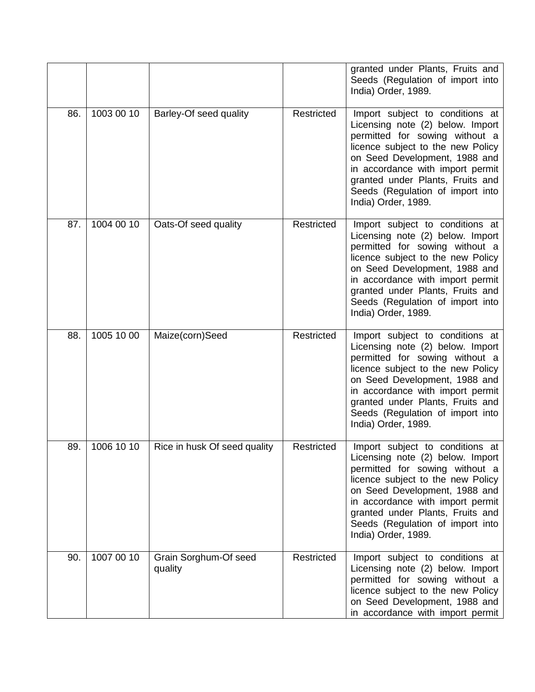|     |            |                                  |            | granted under Plants, Fruits and<br>Seeds (Regulation of import into<br>India) Order, 1989.                                                                                                                                                                                                                    |
|-----|------------|----------------------------------|------------|----------------------------------------------------------------------------------------------------------------------------------------------------------------------------------------------------------------------------------------------------------------------------------------------------------------|
| 86. | 1003 00 10 | Barley-Of seed quality           | Restricted | Import subject to conditions at<br>Licensing note (2) below. Import<br>permitted for sowing without a<br>licence subject to the new Policy<br>on Seed Development, 1988 and<br>in accordance with import permit<br>granted under Plants, Fruits and<br>Seeds (Regulation of import into<br>India) Order, 1989. |
| 87. | 1004 00 10 | Oats-Of seed quality             | Restricted | Import subject to conditions at<br>Licensing note (2) below. Import<br>permitted for sowing without a<br>licence subject to the new Policy<br>on Seed Development, 1988 and<br>in accordance with import permit<br>granted under Plants, Fruits and<br>Seeds (Regulation of import into<br>India) Order, 1989. |
| 88. | 1005 10 00 | Maize(corn)Seed                  | Restricted | Import subject to conditions at<br>Licensing note (2) below. Import<br>permitted for sowing without a<br>licence subject to the new Policy<br>on Seed Development, 1988 and<br>in accordance with import permit<br>granted under Plants, Fruits and<br>Seeds (Regulation of import into<br>India) Order, 1989. |
| 89. | 1006 10 10 | Rice in husk Of seed quality     | Restricted | Import subject to conditions at<br>Licensing note (2) below. Import<br>permitted for sowing without a<br>licence subject to the new Policy<br>on Seed Development, 1988 and<br>in accordance with import permit<br>granted under Plants, Fruits and<br>Seeds (Regulation of import into<br>India) Order, 1989. |
| 90. | 1007 00 10 | Grain Sorghum-Of seed<br>quality | Restricted | Import subject to conditions at<br>Licensing note (2) below. Import<br>permitted for sowing without a<br>licence subject to the new Policy<br>on Seed Development, 1988 and<br>in accordance with import permit                                                                                                |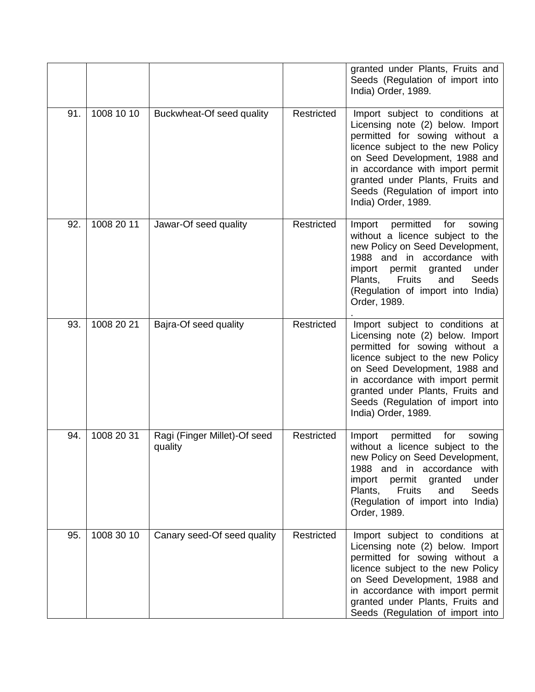|     |            |                                         |            | granted under Plants, Fruits and<br>Seeds (Regulation of import into<br>India) Order, 1989.                                                                                                                                                                                                                    |
|-----|------------|-----------------------------------------|------------|----------------------------------------------------------------------------------------------------------------------------------------------------------------------------------------------------------------------------------------------------------------------------------------------------------------|
| 91. | 1008 10 10 | Buckwheat-Of seed quality               | Restricted | Import subject to conditions at<br>Licensing note (2) below. Import<br>permitted for sowing without a<br>licence subject to the new Policy<br>on Seed Development, 1988 and<br>in accordance with import permit<br>granted under Plants, Fruits and<br>Seeds (Regulation of import into<br>India) Order, 1989. |
| 92. | 1008 20 11 | Jawar-Of seed quality                   | Restricted | Import<br>permitted<br>for<br>sowing<br>without a licence subject to the<br>new Policy on Seed Development,<br>1988 and in accordance with<br>permit<br>under<br>import<br>granted<br>Fruits<br>Seeds<br>Plants,<br>and<br>(Regulation of import into India)<br>Order, 1989.                                   |
| 93. | 1008 20 21 | Bajra-Of seed quality                   | Restricted | Import subject to conditions at<br>Licensing note (2) below. Import<br>permitted for sowing without a<br>licence subject to the new Policy<br>on Seed Development, 1988 and<br>in accordance with import permit<br>granted under Plants, Fruits and<br>Seeds (Regulation of import into<br>India) Order, 1989. |
| 94. | 1008 20 31 | Ragi (Finger Millet)-Of seed<br>quality | Restricted | Import<br>permitted<br>for<br>sowing<br>without a licence subject to the<br>new Policy on Seed Development,<br>1988 and in accordance with<br>import<br>permit granted<br>under<br>Plants,<br>Fruits<br>Seeds<br>and<br>(Regulation of import into India)<br>Order, 1989.                                      |
| 95. | 1008 30 10 | Canary seed-Of seed quality             | Restricted | Import subject to conditions at<br>Licensing note (2) below. Import<br>permitted for sowing without a<br>licence subject to the new Policy<br>on Seed Development, 1988 and<br>in accordance with import permit<br>granted under Plants, Fruits and<br>Seeds (Regulation of import into                        |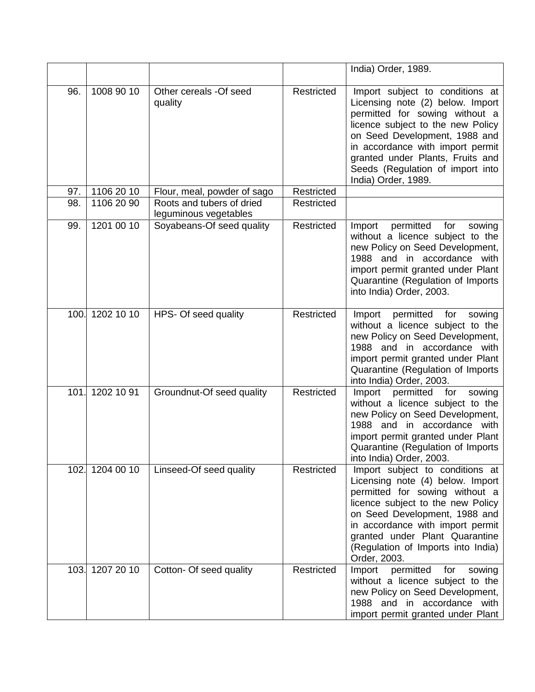|      |            |                                                    |                   | India) Order, 1989.                                                                                                                                                                                                                                                                                            |
|------|------------|----------------------------------------------------|-------------------|----------------------------------------------------------------------------------------------------------------------------------------------------------------------------------------------------------------------------------------------------------------------------------------------------------------|
| 96.  | 1008 90 10 | Other cereals -Of seed<br>quality                  | Restricted        | Import subject to conditions at<br>Licensing note (2) below. Import<br>permitted for sowing without a<br>licence subject to the new Policy<br>on Seed Development, 1988 and<br>in accordance with import permit<br>granted under Plants, Fruits and<br>Seeds (Regulation of import into<br>India) Order, 1989. |
| 97.  | 1106 20 10 | Flour, meal, powder of sago                        | Restricted        |                                                                                                                                                                                                                                                                                                                |
| 98.  | 1106 20 90 | Roots and tubers of dried<br>leguminous vegetables | <b>Restricted</b> |                                                                                                                                                                                                                                                                                                                |
| 99.  | 1201 00 10 | Soyabeans-Of seed quality                          | Restricted        | Import<br>permitted<br>for<br>sowing<br>without a licence subject to the<br>new Policy on Seed Development,<br>1988 and in accordance with<br>import permit granted under Plant<br>Quarantine (Regulation of Imports<br>into India) Order, 2003.                                                               |
| 100. | 1202 10 10 | HPS- Of seed quality                               | Restricted        | Import<br>permitted<br>for<br>sowing<br>without a licence subject to the<br>new Policy on Seed Development,<br>1988 and in accordance with<br>import permit granted under Plant<br>Quarantine (Regulation of Imports<br>into India) Order, 2003.                                                               |
| 101. | 1202 10 91 | Groundnut-Of seed quality                          | Restricted        | permitted for<br>Import<br>sowing<br>without a licence subject to the<br>new Policy on Seed Development,<br>1988 and in accordance with<br>import permit granted under Plant<br>Quarantine (Regulation of Imports<br>into India) Order, 2003.                                                                  |
| 102. | 12040010   | Linseed-Of seed quality                            | Restricted        | Import subject to conditions at<br>Licensing note (4) below. Import<br>permitted for sowing without a<br>licence subject to the new Policy<br>on Seed Development, 1988 and<br>in accordance with import permit<br>granted under Plant Quarantine<br>(Regulation of Imports into India)<br>Order, 2003.        |
| 103. | 1207 20 10 | Cotton- Of seed quality                            | Restricted        | Import permitted<br>for<br>sowing<br>without a licence subject to the<br>new Policy on Seed Development,<br>1988 and in accordance with<br>import permit granted under Plant                                                                                                                                   |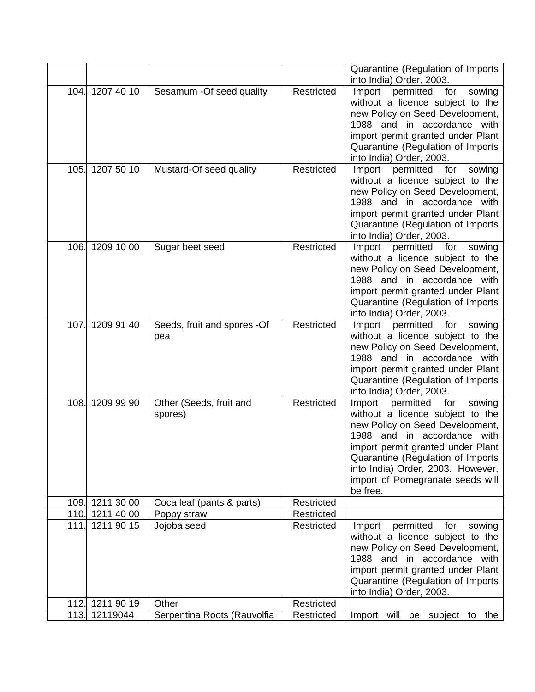|      |                 |                                    |            | Quarantine (Regulation of Imports<br>into India) Order, 2003.                                                                                                                                                                                                                                                |
|------|-----------------|------------------------------------|------------|--------------------------------------------------------------------------------------------------------------------------------------------------------------------------------------------------------------------------------------------------------------------------------------------------------------|
|      | 104. 1207 40 10 | Sesamum - Of seed quality          | Restricted | Import<br>permitted for<br>sowing<br>without a licence subject to the<br>new Policy on Seed Development,<br>and in accordance with<br>1988<br>import permit granted under Plant<br>Quarantine (Regulation of Imports<br>into India) Order, 2003.                                                             |
| 105. | 1207 50 10      | Mustard-Of seed quality            | Restricted | permitted<br>Import<br>for<br>sowing<br>without a licence subject to the<br>new Policy on Seed Development,<br>1988 and in accordance with<br>import permit granted under Plant<br>Quarantine (Regulation of Imports<br>into India) Order, 2003.                                                             |
| 106. | 1209 10 00      | Sugar beet seed                    | Restricted | Import<br>permitted<br>for<br>sowing<br>without a licence subject to the<br>new Policy on Seed Development,<br>1988 and in accordance with<br>import permit granted under Plant<br>Quarantine (Regulation of Imports<br>into India) Order, 2003.                                                             |
| 107. | 1209 91 40      | Seeds, fruit and spores -Of<br>pea | Restricted | permitted<br>for<br>Import<br>sowing<br>without a licence subject to the<br>new Policy on Seed Development,<br>1988 and in accordance with<br>import permit granted under Plant<br>Quarantine (Regulation of Imports<br>into India) Order, 2003.                                                             |
| 108. | 1209 99 90      | Other (Seeds, fruit and<br>spores) | Restricted | permitted<br>for<br>Import<br>sowing<br>without a licence subject to the<br>new Policy on Seed Development,<br>and in accordance with<br>1988<br>import permit granted under Plant<br>Quarantine (Regulation of Imports<br>into India) Order, 2003. However,<br>import of Pomegranate seeds will<br>be free. |
|      | 109. 1211 30 00 | Coca leaf (pants & parts)          | Restricted |                                                                                                                                                                                                                                                                                                              |
|      | 110. 1211 40 00 | Poppy straw                        | Restricted |                                                                                                                                                                                                                                                                                                              |
| 111. | 1211 90 15      | Jojoba seed                        | Restricted | permitted<br>Import<br>for<br>sowing<br>without a licence subject to the<br>new Policy on Seed Development,<br>1988 and in accordance with<br>import permit granted under Plant<br>Quarantine (Regulation of Imports<br>into India) Order, 2003.                                                             |
|      | 112. 1211 90 19 | Other                              | Restricted |                                                                                                                                                                                                                                                                                                              |
|      | 113. 12119044   | Serpentina Roots (Rauvolfia        | Restricted | Import will be subject to the                                                                                                                                                                                                                                                                                |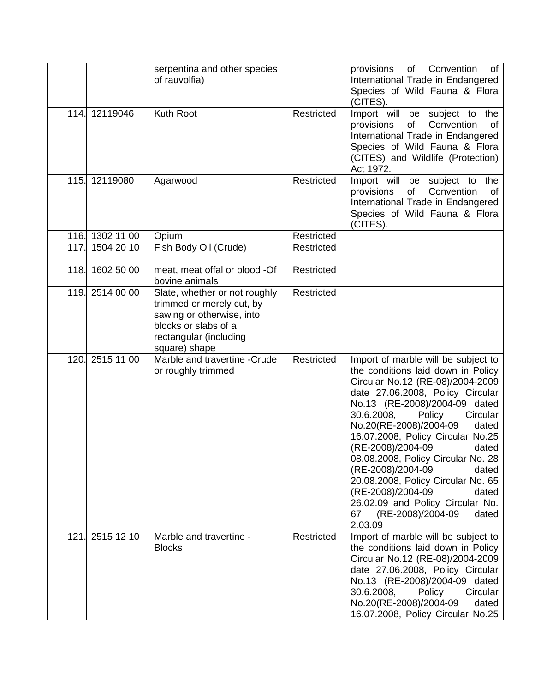|      |                 | serpentina and other species<br>of rauvolfia)                                                                                                              |            | Convention<br>provisions<br>of<br>of<br>International Trade in Endangered<br>Species of Wild Fauna & Flora<br>(CITES).                                                                                                                                                                                                                                                                                                                                                                                                                                  |
|------|-----------------|------------------------------------------------------------------------------------------------------------------------------------------------------------|------------|---------------------------------------------------------------------------------------------------------------------------------------------------------------------------------------------------------------------------------------------------------------------------------------------------------------------------------------------------------------------------------------------------------------------------------------------------------------------------------------------------------------------------------------------------------|
|      | 114. 12119046   | Kuth Root                                                                                                                                                  | Restricted | Import will be subject to the<br>of<br>Convention<br>provisions<br>οf<br>International Trade in Endangered<br>Species of Wild Fauna & Flora<br>(CITES) and Wildlife (Protection)<br>Act 1972.                                                                                                                                                                                                                                                                                                                                                           |
|      | 115. 12119080   | Agarwood                                                                                                                                                   | Restricted | Import will be subject to the<br>of<br>Convention<br>provisions<br>οf<br>International Trade in Endangered<br>Species of Wild Fauna & Flora<br>(CITES).                                                                                                                                                                                                                                                                                                                                                                                                 |
|      | 116. 1302 11 00 | Opium                                                                                                                                                      | Restricted |                                                                                                                                                                                                                                                                                                                                                                                                                                                                                                                                                         |
|      | 117. 1504 20 10 | Fish Body Oil (Crude)                                                                                                                                      | Restricted |                                                                                                                                                                                                                                                                                                                                                                                                                                                                                                                                                         |
| 118. | 1602 50 00      | meat, meat offal or blood -Of<br>bovine animals                                                                                                            | Restricted |                                                                                                                                                                                                                                                                                                                                                                                                                                                                                                                                                         |
|      | 119. 2514 00 00 | Slate, whether or not roughly<br>trimmed or merely cut, by<br>sawing or otherwise, into<br>blocks or slabs of a<br>rectangular (including<br>square) shape | Restricted |                                                                                                                                                                                                                                                                                                                                                                                                                                                                                                                                                         |
| 120. | 2515 11 00      | Marble and travertine -Crude<br>or roughly trimmed                                                                                                         | Restricted | Import of marble will be subject to<br>the conditions laid down in Policy<br>Circular No.12 (RE-08)/2004-2009<br>date 27.06.2008, Policy Circular<br>No.13 (RE-2008)/2004-09 dated<br>30.6.2008,<br>Policy<br>Circular<br>No.20(RE-2008)/2004-09<br>dated<br>16.07.2008, Policy Circular No.25<br>(RE-2008)/2004-09<br>dated<br>08.08.2008, Policy Circular No. 28<br>(RE-2008)/2004-09<br>dated<br>20.08.2008, Policy Circular No. 65<br>(RE-2008)/2004-09<br>dated<br>26.02.09 and Policy Circular No.<br>(RE-2008)/2004-09<br>dated<br>67<br>2.03.09 |
| 121. | 2515 12 10      | Marble and travertine -<br><b>Blocks</b>                                                                                                                   | Restricted | Import of marble will be subject to<br>the conditions laid down in Policy<br>Circular No.12 (RE-08)/2004-2009<br>date 27.06.2008, Policy Circular<br>No.13 (RE-2008)/2004-09 dated<br>30.6.2008,<br>Policy<br>Circular<br>No.20(RE-2008)/2004-09<br>dated<br>16.07.2008, Policy Circular No.25                                                                                                                                                                                                                                                          |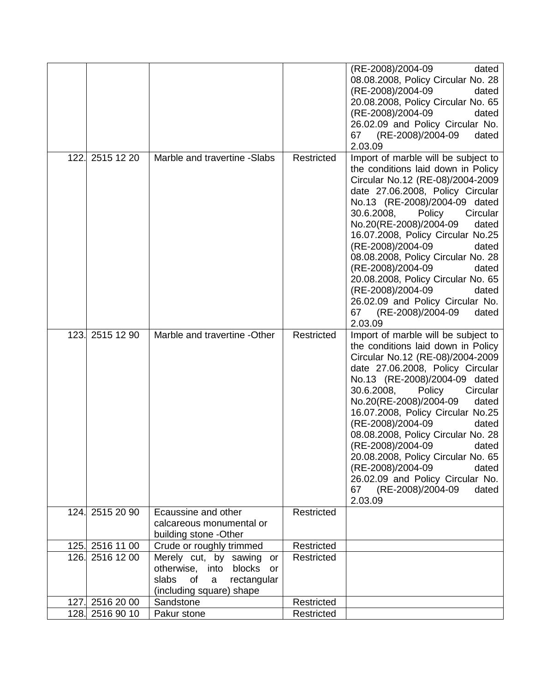|      |                 |                                 |            | (RE-2008)/2004-09<br>dated          |
|------|-----------------|---------------------------------|------------|-------------------------------------|
|      |                 |                                 |            | 08.08.2008, Policy Circular No. 28  |
|      |                 |                                 |            | (RE-2008)/2004-09<br>dated          |
|      |                 |                                 |            | 20.08.2008, Policy Circular No. 65  |
|      |                 |                                 |            | (RE-2008)/2004-09<br>dated          |
|      |                 |                                 |            | 26.02.09 and Policy Circular No.    |
|      |                 |                                 |            | 67 (RE-2008)/2004-09<br>dated       |
|      |                 |                                 |            | 2.03.09                             |
| 122. | 2515 12 20      | Marble and travertine -Slabs    | Restricted | Import of marble will be subject to |
|      |                 |                                 |            | the conditions laid down in Policy  |
|      |                 |                                 |            | Circular No.12 (RE-08)/2004-2009    |
|      |                 |                                 |            |                                     |
|      |                 |                                 |            | date 27.06.2008, Policy Circular    |
|      |                 |                                 |            | No.13 (RE-2008)/2004-09 dated       |
|      |                 |                                 |            | 30.6.2008, Policy<br>Circular       |
|      |                 |                                 |            | No.20(RE-2008)/2004-09<br>dated     |
|      |                 |                                 |            | 16.07.2008, Policy Circular No.25   |
|      |                 |                                 |            | (RE-2008)/2004-09<br>dated          |
|      |                 |                                 |            | 08.08.2008, Policy Circular No. 28  |
|      |                 |                                 |            | (RE-2008)/2004-09<br>dated          |
|      |                 |                                 |            | 20.08.2008, Policy Circular No. 65  |
|      |                 |                                 |            | (RE-2008)/2004-09<br>dated          |
|      |                 |                                 |            | 26.02.09 and Policy Circular No.    |
|      |                 |                                 |            | 67 (RE-2008)/2004-09<br>dated       |
|      |                 |                                 |            | 2.03.09                             |
| 123. | 2515 12 90      | Marble and travertine -Other    | Restricted | Import of marble will be subject to |
|      |                 |                                 |            | the conditions laid down in Policy  |
|      |                 |                                 |            | Circular No.12 (RE-08)/2004-2009    |
|      |                 |                                 |            | date 27.06.2008, Policy Circular    |
|      |                 |                                 |            | No.13 (RE-2008)/2004-09 dated       |
|      |                 |                                 |            | 30.6.2008,<br>Circular<br>Policy    |
|      |                 |                                 |            | No.20(RE-2008)/2004-09<br>dated     |
|      |                 |                                 |            | 16.07.2008, Policy Circular No.25   |
|      |                 |                                 |            | (RE-2008)/2004-09<br>dated          |
|      |                 |                                 |            | 08.08.2008, Policy Circular No. 28  |
|      |                 |                                 |            | (RE-2008)/2004-09<br>dated          |
|      |                 |                                 |            | 20.08.2008, Policy Circular No. 65  |
|      |                 |                                 |            | (RE-2008)/2004-09<br>dated          |
|      |                 |                                 |            | 26.02.09 and Policy Circular No.    |
|      |                 |                                 |            | (RE-2008)/2004-09<br>67<br>dated    |
|      |                 |                                 |            | 2.03.09                             |
|      | 124. 2515 20 90 | Ecaussine and other             | Restricted |                                     |
|      |                 | calcareous monumental or        |            |                                     |
|      |                 | building stone -Other           |            |                                     |
|      | 125. 2516 11 00 | Crude or roughly trimmed        | Restricted |                                     |
|      | 126. 2516 12 00 | Merely cut, by sawing<br>or     | Restricted |                                     |
|      |                 | otherwise, into blocks or       |            |                                     |
|      |                 | slabs<br>of<br>a<br>rectangular |            |                                     |
|      |                 | (including square) shape        |            |                                     |
|      | 127. 2516 20 00 | Sandstone                       | Restricted |                                     |
|      | 128. 2516 90 10 | Pakur stone                     | Restricted |                                     |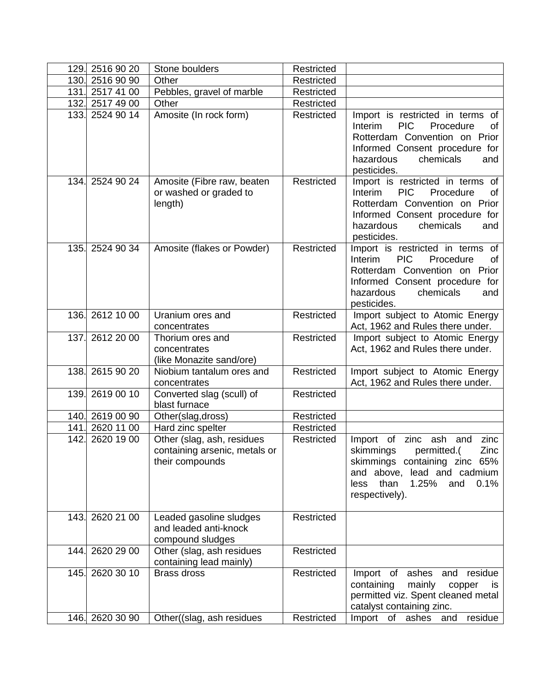| 129. | 2516 90 20      | Stone boulders                                                                 | Restricted |                                                                                                                                                                                                 |
|------|-----------------|--------------------------------------------------------------------------------|------------|-------------------------------------------------------------------------------------------------------------------------------------------------------------------------------------------------|
|      | 130. 2516 90 90 | Other                                                                          | Restricted |                                                                                                                                                                                                 |
| 131. | 2517 41 00      | Pebbles, gravel of marble                                                      | Restricted |                                                                                                                                                                                                 |
|      | 132. 2517 49 00 | Other                                                                          | Restricted |                                                                                                                                                                                                 |
|      | 133. 2524 90 14 | Amosite (In rock form)                                                         | Restricted | Import is restricted in terms of<br><b>PIC</b><br>Interim<br>Procedure<br>of<br>Rotterdam Convention on Prior<br>Informed Consent procedure for<br>hazardous<br>chemicals<br>and<br>pesticides. |
|      | 134. 2524 90 24 | Amosite (Fibre raw, beaten<br>or washed or graded to<br>length)                | Restricted | Import is restricted in terms of<br>Interim<br><b>PIC</b><br>Procedure<br>of<br>Rotterdam Convention on Prior<br>Informed Consent procedure for<br>hazardous<br>chemicals<br>and<br>pesticides. |
|      | 135. 2524 90 34 | Amosite (flakes or Powder)                                                     | Restricted | Import is restricted in terms of<br><b>PIC</b><br>Procedure<br>Interim<br>of<br>Rotterdam Convention on Prior<br>Informed Consent procedure for<br>chemicals<br>hazardous<br>and<br>pesticides. |
|      | 136. 2612 10 00 | Uranium ores and<br>concentrates                                               | Restricted | Import subject to Atomic Energy<br>Act, 1962 and Rules there under.                                                                                                                             |
|      | 137. 2612 20 00 | Thorium ores and<br>concentrates<br>(like Monazite sand/ore)                   | Restricted | Import subject to Atomic Energy<br>Act, 1962 and Rules there under.                                                                                                                             |
|      | 138. 2615 90 20 | Niobium tantalum ores and<br>concentrates                                      | Restricted | Import subject to Atomic Energy<br>Act, 1962 and Rules there under.                                                                                                                             |
|      | 139. 2619 00 10 | Converted slag (scull) of<br>blast furnace                                     | Restricted |                                                                                                                                                                                                 |
|      | 140. 2619 00 90 | Other(slag,dross)                                                              | Restricted |                                                                                                                                                                                                 |
| 141. | 2620 11 00      | Hard zinc spelter                                                              | Restricted |                                                                                                                                                                                                 |
| 142. | 2620 19 00      | Other (slag, ash, residues<br>containing arsenic, metals or<br>their compounds | Restricted | Import of<br>zinc ash and<br>zinc<br>skimmings<br>permitted.(<br>Zinc<br>skimmings containing zinc 65%<br>and above, lead and cadmium<br>than<br>1.25%<br>0.1%<br>and<br>less<br>respectively). |
|      | 143. 2620 21 00 | Leaded gasoline sludges<br>and leaded anti-knock<br>compound sludges           | Restricted |                                                                                                                                                                                                 |
|      | 144. 2620 29 00 | Other (slag, ash residues<br>containing lead mainly)                           | Restricted |                                                                                                                                                                                                 |
|      | 145. 2620 30 10 | <b>Brass dross</b>                                                             | Restricted | Import of ashes and residue<br>containing<br>mainly<br>copper<br>is<br>permitted viz. Spent cleaned metal<br>catalyst containing zinc.                                                          |
|      | 146. 2620 30 90 | Other((slag, ash residues)                                                     | Restricted | Import of ashes<br>and<br>residue                                                                                                                                                               |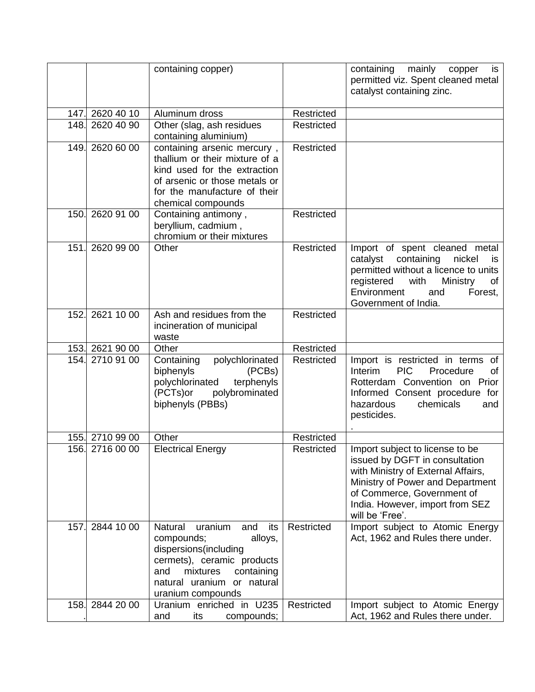|      |                 | containing copper)                                                                                                                                                                   |            | containing<br>mainly<br>copper<br>is.<br>permitted viz. Spent cleaned metal<br>catalyst containing zinc.                                                                                                                        |
|------|-----------------|--------------------------------------------------------------------------------------------------------------------------------------------------------------------------------------|------------|---------------------------------------------------------------------------------------------------------------------------------------------------------------------------------------------------------------------------------|
|      | 147. 2620 40 10 | Aluminum dross                                                                                                                                                                       | Restricted |                                                                                                                                                                                                                                 |
|      | 148. 2620 40 90 | Other (slag, ash residues<br>containing aluminium)                                                                                                                                   | Restricted |                                                                                                                                                                                                                                 |
|      | 149. 2620 60 00 | containing arsenic mercury,<br>thallium or their mixture of a<br>kind used for the extraction<br>of arsenic or those metals or<br>for the manufacture of their<br>chemical compounds | Restricted |                                                                                                                                                                                                                                 |
| 150. | 2620 91 00      | Containing antimony,<br>beryllium, cadmium,<br>chromium or their mixtures                                                                                                            | Restricted |                                                                                                                                                                                                                                 |
| 151. | 2620 99 00      | Other                                                                                                                                                                                | Restricted | Import of spent cleaned metal<br>catalyst containing<br>nickel<br>is<br>permitted without a licence to units<br>registered<br>with<br>Ministry<br>οf<br>Environment<br>and<br>Forest,<br>Government of India.                   |
| 152. | 2621 10 00      | Ash and residues from the<br>incineration of municipal<br>waste                                                                                                                      | Restricted |                                                                                                                                                                                                                                 |
|      | 153. 2621 90 00 | Other                                                                                                                                                                                | Restricted |                                                                                                                                                                                                                                 |
| 154. | 2710 91 00      | Containing<br>polychlorinated<br>biphenyls<br>(PCBs)<br>terphenyls<br>polychlorinated<br>(PCTs)or<br>polybrominated<br>biphenyls (PBBs)                                              | Restricted | Import is restricted in terms of<br><b>PIC</b><br>Interim<br>Procedure<br>οf<br>Rotterdam Convention on Prior<br>Informed Consent procedure for<br>hazardous<br>chemicals<br>and<br>pesticides.                                 |
|      | 155. 2710 99 00 | Other                                                                                                                                                                                | Restricted |                                                                                                                                                                                                                                 |
|      | 156. 2716 00 00 | <b>Electrical Energy</b>                                                                                                                                                             | Restricted | Import subject to license to be<br>issued by DGFT in consultation<br>with Ministry of External Affairs,<br>Ministry of Power and Department<br>of Commerce, Government of<br>India. However, import from SEZ<br>will be 'Free'. |
| 157. | 2844 10 00      | Natural<br>its<br>uranium<br>and<br>alloys,<br>compounds;<br>dispersions(including<br>cermets), ceramic products<br>mixtures<br>and<br>containing<br>natural uranium or natural      | Restricted | Import subject to Atomic Energy<br>Act, 1962 and Rules there under.                                                                                                                                                             |
|      | 158. 2844 20 00 | uranium compounds<br>Uranium enriched in U235                                                                                                                                        | Restricted | Import subject to Atomic Energy                                                                                                                                                                                                 |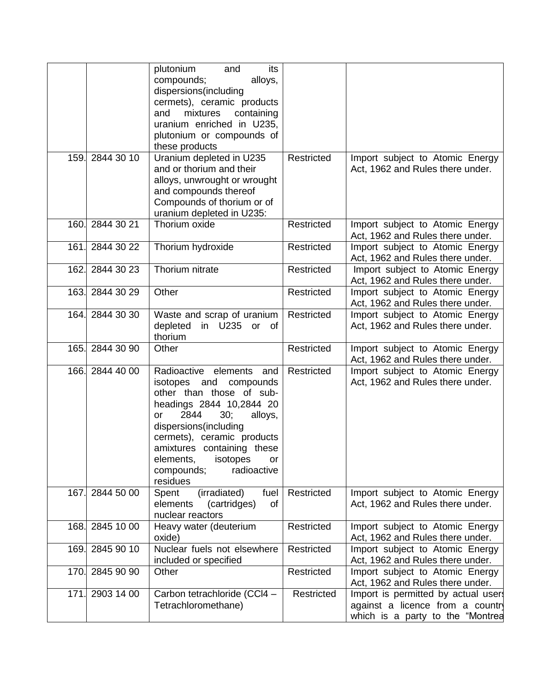|      |                 | plutonium<br>its<br>and<br>compounds;<br>alloys,<br>dispersions(including<br>cermets), ceramic products<br>mixtures<br>containing<br>and<br>uranium enriched in U235,<br>plutonium or compounds of<br>these products                                                                                          |            |                                                                                                           |
|------|-----------------|---------------------------------------------------------------------------------------------------------------------------------------------------------------------------------------------------------------------------------------------------------------------------------------------------------------|------------|-----------------------------------------------------------------------------------------------------------|
| 159. | 2844 30 10      | Uranium depleted in U235<br>and or thorium and their<br>alloys, unwrought or wrought<br>and compounds thereof<br>Compounds of thorium or of<br>uranium depleted in U235:                                                                                                                                      | Restricted | Import subject to Atomic Energy<br>Act, 1962 and Rules there under.                                       |
|      | 160. 2844 30 21 | Thorium oxide                                                                                                                                                                                                                                                                                                 | Restricted | Import subject to Atomic Energy<br>Act, 1962 and Rules there under.                                       |
| 161. | 2844 30 22      | Thorium hydroxide                                                                                                                                                                                                                                                                                             | Restricted | Import subject to Atomic Energy<br>Act, 1962 and Rules there under.                                       |
| 162. | 2844 30 23      | Thorium nitrate                                                                                                                                                                                                                                                                                               | Restricted | Import subject to Atomic Energy<br>Act, 1962 and Rules there under.                                       |
|      | 163. 2844 30 29 | Other                                                                                                                                                                                                                                                                                                         | Restricted | Import subject to Atomic Energy<br>Act, 1962 and Rules there under.                                       |
|      | 164. 2844 30 30 | Waste and scrap of uranium<br>depleted<br>in U235 or of<br>thorium                                                                                                                                                                                                                                            | Restricted | Import subject to Atomic Energy<br>Act, 1962 and Rules there under.                                       |
| 165. | 2844 30 90      | Other                                                                                                                                                                                                                                                                                                         | Restricted | Import subject to Atomic Energy<br>Act, 1962 and Rules there under.                                       |
| 166. | 2844 40 00      | Radioactive elements and<br>isotopes and<br>compounds<br>other than those of sub-<br>headings 2844 10,2844 20<br>2844<br>$30$ ;<br>alloys,<br>or<br>dispersions(including<br>cermets), ceramic products<br>amixtures containing these<br>elements,<br>isotopes<br>or<br>radioactive<br>compounds;<br>residues | Restricted | Import subject to Atomic Energy<br>Act, 1962 and Rules there under.                                       |
| 167. | 2844 50 00      | (irradiated)<br>fuel<br>Spent<br>elements<br>(cartridges)<br>of<br>nuclear reactors                                                                                                                                                                                                                           | Restricted | Import subject to Atomic Energy<br>Act, 1962 and Rules there under.                                       |
| 168. | 2845 10 00      | Heavy water (deuterium<br>oxide)                                                                                                                                                                                                                                                                              | Restricted | Import subject to Atomic Energy<br>Act, 1962 and Rules there under.                                       |
| 169. | 2845 90 10      | Nuclear fuels not elsewhere<br>included or specified                                                                                                                                                                                                                                                          | Restricted | Import subject to Atomic Energy<br>Act, 1962 and Rules there under.                                       |
| 170. | 2845 90 90      | Other                                                                                                                                                                                                                                                                                                         | Restricted | Import subject to Atomic Energy<br>Act, 1962 and Rules there under.                                       |
| 171. | 2903 14 00      | Carbon tetrachloride (CCl4 -<br>Tetrachloromethane)                                                                                                                                                                                                                                                           | Restricted | Import is permitted by actual user<br>against a licence from a countr<br>which is a party to the "Montrea |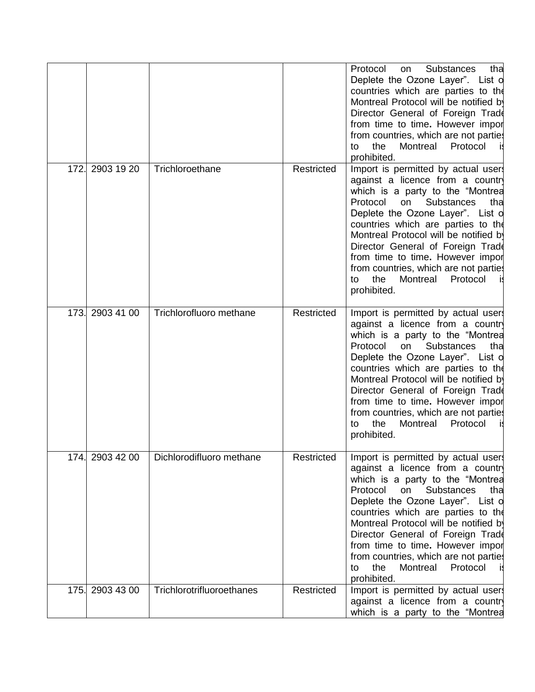|      |                 |                           |            | Protocol<br><b>Substances</b><br>tha<br><b>on</b><br>Deplete the Ozone Layer". List o<br>countries which are parties to the<br>Montreal Protocol will be notified by<br>Director General of Foreign Trade<br>from time to time. However import<br>from countries, which are not partie<br>the<br>Montreal<br>Protocol<br>to<br>prohibited.                                                                                                         |
|------|-----------------|---------------------------|------------|----------------------------------------------------------------------------------------------------------------------------------------------------------------------------------------------------------------------------------------------------------------------------------------------------------------------------------------------------------------------------------------------------------------------------------------------------|
| 172. | 2903 19 20      | Trichloroethane           | Restricted | Import is permitted by actual user<br>against a licence from a country<br>which is a party to the "Montrea<br><b>Substances</b><br>Protocol<br>on<br>tha<br>Deplete the Ozone Layer". List of<br>countries which are parties to the<br>Montreal Protocol will be notified by<br>Director General of Foreign Trade<br>from time to time. However impor<br>from countries, which are not parties<br>Protocol<br>the<br>Montreal<br>to<br>prohibited. |
| 173. | 2903 41 00      | Trichlorofluoro methane   | Restricted | Import is permitted by actual user<br>against a licence from a country<br>which is a party to the "Montrea<br>Protocol<br><b>Substances</b><br>tha<br>on<br>Deplete the Ozone Layer". List of<br>countries which are parties to the<br>Montreal Protocol will be notified by<br>Director General of Foreign Trade<br>from time to time. However impor<br>from countries, which are not parties<br>the<br>Montreal<br>Protocol<br>to<br>prohibited. |
|      | 174. 2903 42 00 | Dichlorodifluoro methane  | Restricted | Import is permitted by actual user.<br>against a licence from a countr<br>which is a party to the "Montrea<br>Substances<br>Protocol<br>on<br>tha<br>Deplete the Ozone Layer". List of<br>countries which are parties to the<br>Montreal Protocol will be notified by<br>Director General of Foreign Trade<br>from time to time. However impor<br>from countries, which are not partie<br>the<br>Montreal<br>Protocol<br>to<br>prohibited.         |
| 175. | 2903 43 00      | Trichlorotrifluoroethanes | Restricted | Import is permitted by actual user<br>against a licence from a country<br>which is a party to the "Montrea                                                                                                                                                                                                                                                                                                                                         |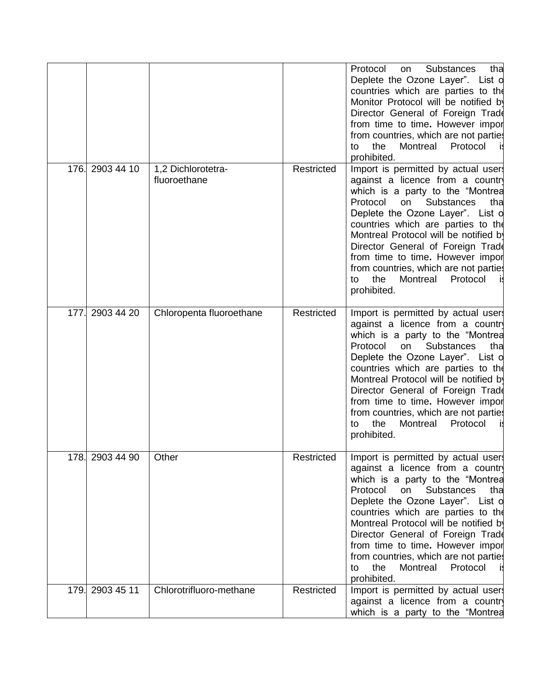|      |                  |                                    |                   | Protocol<br><b>Substances</b><br>tha<br><b>on</b><br>Deplete the Ozone Layer". List o<br>countries which are parties to the<br>Monitor Protocol will be notified by<br>Director General of Foreign Trade<br>from time to time. However impor<br>from countries, which are not parties<br>Protocol<br>the<br>Montreal<br>to<br>prohibited.                                                                                                          |
|------|------------------|------------------------------------|-------------------|----------------------------------------------------------------------------------------------------------------------------------------------------------------------------------------------------------------------------------------------------------------------------------------------------------------------------------------------------------------------------------------------------------------------------------------------------|
| 176. | 2903 44 10       | 1,2 Dichlorotetra-<br>fluoroethane | Restricted        | Import is permitted by actual user<br>against a licence from a country<br>which is a party to the "Montrea<br>Protocol<br><b>Substances</b><br>on<br>tha<br>Deplete the Ozone Layer". List o<br>countries which are parties to the<br>Montreal Protocol will be notified by<br>Director General of Foreign Trade<br>from time to time. However impor<br>from countries, which are not parties<br>the<br>Montreal<br>Protocol<br>to<br>prohibited.  |
| 177. | 2903 44 20       | Chloropenta fluoroethane           | <b>Restricted</b> | Import is permitted by actual user<br>against a licence from a country<br>which is a party to the "Montrea<br>Protocol<br><b>Substances</b><br>tha<br>on<br>Deplete the Ozone Layer". List of<br>countries which are parties to the<br>Montreal Protocol will be notified by<br>Director General of Foreign Trade<br>from time to time. However impor<br>from countries, which are not parties<br>the<br>Montreal<br>Protocol<br>to<br>prohibited. |
|      | 178.  2903 44 90 | Other                              | Restricted        | Import is permitted by actual user.<br>against a licence from a countr<br>which is a party to the "Montrea<br>Protocol<br>Substances<br>on<br>tha<br>Deplete the Ozone Layer". List of<br>countries which are parties to the<br>Montreal Protocol will be notified by<br>Director General of Foreign Trade<br>from time to time. However impor<br>from countries, which are not parties<br>the<br>Montreal<br>Protocol<br>to<br>prohibited.        |
|      | 179. 2903 45 11  | Chlorotrifluoro-methane            | Restricted        | Import is permitted by actual user<br>against a licence from a countr<br>which is a party to the "Montrea                                                                                                                                                                                                                                                                                                                                          |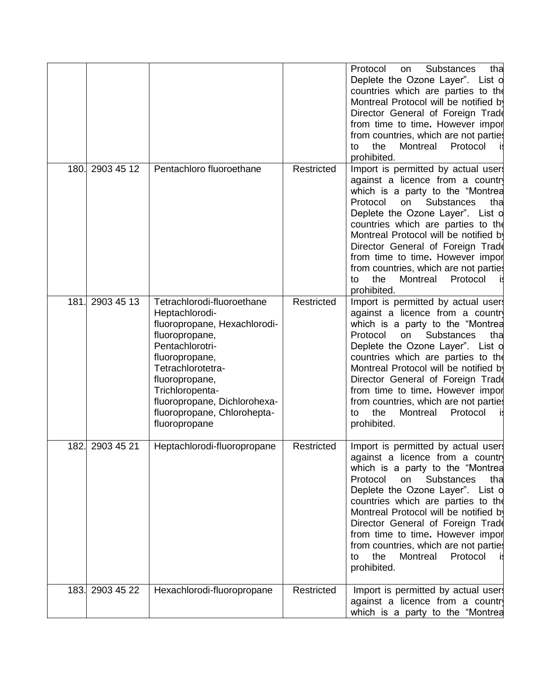|      |                 |                                                                                                                                                                                                                                                                               |                   | Protocol<br>Substances<br>tha<br><b>on</b><br>Deplete the Ozone Layer". List o<br>countries which are parties to the<br>Montreal Protocol will be notified by<br>Director General of Foreign Trade<br>from time to time. However import<br>from countries, which are not parties<br>the<br>Montreal<br>Protocol<br>to<br>prohibited.                                                                                                            |
|------|-----------------|-------------------------------------------------------------------------------------------------------------------------------------------------------------------------------------------------------------------------------------------------------------------------------|-------------------|-------------------------------------------------------------------------------------------------------------------------------------------------------------------------------------------------------------------------------------------------------------------------------------------------------------------------------------------------------------------------------------------------------------------------------------------------|
| 180. | 2903 45 12      | Pentachloro fluoroethane                                                                                                                                                                                                                                                      | Restricted        | Import is permitted by actual user<br>against a licence from a country<br>which is a party to the "Montrea<br>Protocol<br>Substances<br>on<br>tha<br>Deplete the Ozone Layer". List o<br>countries which are parties to the<br>Montreal Protocol will be notified by<br>Director General of Foreign Trade<br>from time to time. However import<br>from countries, which are not parties<br>Montreal<br>Protocol<br>the<br>to<br>prohibited.     |
| 181. | 2903 45 13      | Tetrachlorodi-fluoroethane<br>Heptachlorodi-<br>fluoropropane, Hexachlorodi-<br>fluoropropane,<br>Pentachlorotri-<br>fluoropropane,<br>Tetrachlorotetra-<br>fluoropropane,<br>Trichloropenta-<br>fluoropropane, Dichlorohexa-<br>fluoropropane, Chlorohepta-<br>fluoropropane | <b>Restricted</b> | Import is permitted by actual user<br>against a licence from a country<br>which is a party to the "Montrea<br><b>Substances</b><br>Protocol<br>on<br>tha<br>Deplete the Ozone Layer". List of<br>countries which are parties to the<br>Montreal Protocol will be notified by<br>Director General of Foreign Trade<br>from time to time. However impor<br>from countries, which are not parties<br>the<br>Montreal Protocol<br>to<br>prohibited. |
| 182. | 2903 45 21      | Heptachlorodi-fluoropropane                                                                                                                                                                                                                                                   | Restricted        | Import is permitted by actual users<br>against a licence from a country<br>which is a party to the "Montrea<br>Protocol<br>Substances<br>on<br>tha<br>Deplete the Ozone Layer". List of<br>countries which are parties to the<br>Montreal Protocol will be notified by<br>Director General of Foreign Trade<br>from time to time. However import<br>from countries, which are not parties<br>the<br>Montreal<br>Protocol<br>to<br>prohibited.   |
|      | 183. 2903 45 22 | Hexachlorodi-fluoropropane                                                                                                                                                                                                                                                    | Restricted        | Import is permitted by actual user.<br>against a licence from a country<br>which is a party to the "Montrea                                                                                                                                                                                                                                                                                                                                     |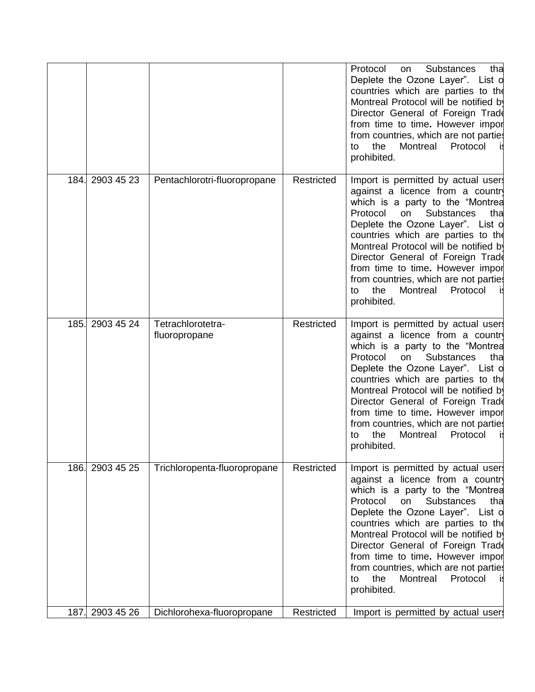|      |                 |                                    |            | Protocol<br><b>Substances</b><br>tha<br><b>on</b><br>Deplete the Ozone Layer". List o<br>countries which are parties to the<br>Montreal Protocol will be notified by<br>Director General of Foreign Trade<br>from time to time. However import<br>from countries, which are not parties<br>the<br>Montreal<br>Protocol<br>to<br>prohibited.                                                                                                        |
|------|-----------------|------------------------------------|------------|----------------------------------------------------------------------------------------------------------------------------------------------------------------------------------------------------------------------------------------------------------------------------------------------------------------------------------------------------------------------------------------------------------------------------------------------------|
|      | 184. 2903 45 23 | Pentachlorotri-fluoropropane       | Restricted | Import is permitted by actual user<br>against a licence from a country<br>which is a party to the "Montrea<br><b>Substances</b><br>Protocol<br>on<br>tha<br>Deplete the Ozone Layer". List o<br>countries which are parties to the<br>Montreal Protocol will be notified by<br>Director General of Foreign Trade<br>from time to time. However import<br>from countries, which are not parties<br>Protocol<br>the<br>Montreal<br>to<br>prohibited. |
| 185. | 2903 45 24      | Tetrachlorotetra-<br>fluoropropane | Restricted | Import is permitted by actual user<br>against a licence from a country<br>which is a party to the "Montrea<br>Protocol<br><b>Substances</b><br>on<br>tha<br>Deplete the Ozone Layer". List of<br>countries which are parties to the<br>Montreal Protocol will be notified by<br>Director General of Foreign Trade<br>from time to time. However impor<br>from countries, which are not parties<br>the<br>Montreal<br>Protocol<br>to<br>prohibited. |
|      | 186. 2903 45 25 | Trichloropenta-fluoropropane       | Restricted | Import is permitted by actual user<br>against a licence from a country<br>which is a party to the "Montrea<br><b>Substances</b><br>Protocol<br>on<br>tha<br>Deplete the Ozone Layer". List of<br>countries which are parties to the<br>Montreal Protocol will be notified by<br>Director General of Foreign Trade<br>from time to time. However impor<br>from countries, which are not parties<br>Montreal<br>Protocol<br>the<br>to<br>prohibited. |
|      | 187. 2903 45 26 | Dichlorohexa-fluoropropane         | Restricted | Import is permitted by actual user                                                                                                                                                                                                                                                                                                                                                                                                                 |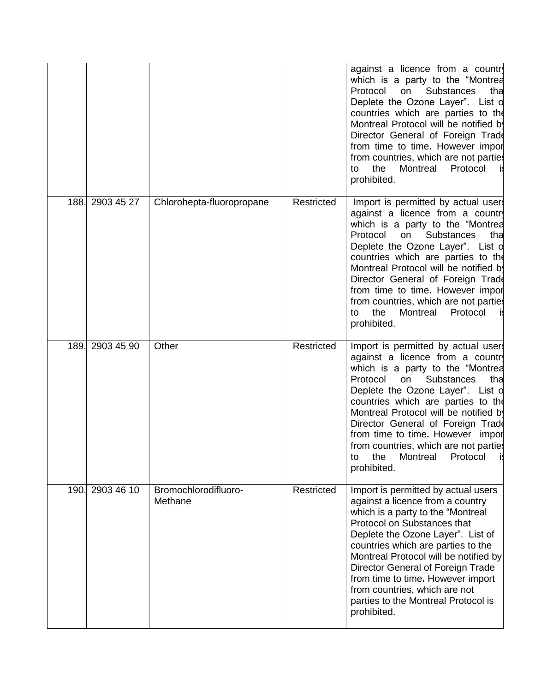|      |                 |                                 |            | against a licence from a country<br>which is a party to the "Montrea<br>Protocol<br>Substances<br>on<br>tha<br>Deplete the Ozone Layer". List of<br>countries which are parties to the<br>Montreal Protocol will be notified by<br>Director General of Foreign Trade<br>from time to time. However import<br>from countries, which are not parties<br>the<br>Montreal<br>Protocol<br>to<br>prohibited.                                      |
|------|-----------------|---------------------------------|------------|---------------------------------------------------------------------------------------------------------------------------------------------------------------------------------------------------------------------------------------------------------------------------------------------------------------------------------------------------------------------------------------------------------------------------------------------|
| 188. | 2903 45 27      | Chlorohepta-fluoropropane       | Restricted | Import is permitted by actual user<br>against a licence from a country<br>which is a party to the "Montrea<br>Substances<br>Protocol<br>on<br>tha<br>Deplete the Ozone Layer". List of<br>countries which are parties to the<br>Montreal Protocol will be notified by<br>Director General of Foreign Trade<br>from time to time. However impor<br>from countries, which are not parties<br>the<br>Montreal<br>Protocol<br>to<br>prohibited. |
| 189. | 2903 45 90      | Other                           | Restricted | Import is permitted by actual user<br>against a licence from a country<br>which is a party to the "Montrea<br>Protocol<br>Substances<br>on<br>tha<br>Deplete the Ozone Layer". List o<br>countries which are parties to the<br>Montreal Protocol will be notified by<br>Director General of Foreign Trade<br>from time to time. However impor<br>from countries, which are not parties<br>to<br>the<br>Montreal<br>Protocol<br>prohibited.  |
|      | 190. 2903 46 10 | Bromochlorodifluoro-<br>Methane | Restricted | Import is permitted by actual users<br>against a licence from a country<br>which is a party to the "Montreal<br>Protocol on Substances that<br>Deplete the Ozone Layer". List of<br>countries which are parties to the<br>Montreal Protocol will be notified by<br>Director General of Foreign Trade<br>from time to time. However import<br>from countries, which are not<br>parties to the Montreal Protocol is<br>prohibited.            |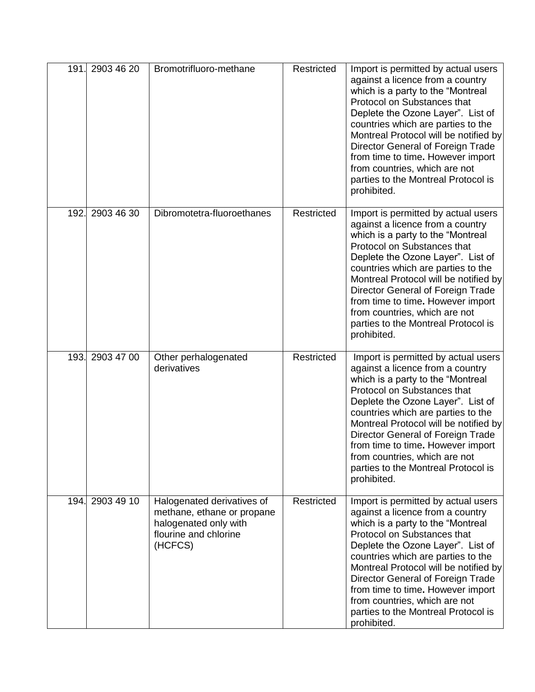| 191. | 2903 46 20      | Bromotrifluoro-methane                                                                                                | Restricted | Import is permitted by actual users<br>against a licence from a country<br>which is a party to the "Montreal<br>Protocol on Substances that<br>Deplete the Ozone Layer". List of<br>countries which are parties to the<br>Montreal Protocol will be notified by<br>Director General of Foreign Trade<br>from time to time. However import<br>from countries, which are not<br>parties to the Montreal Protocol is<br>prohibited. |
|------|-----------------|-----------------------------------------------------------------------------------------------------------------------|------------|----------------------------------------------------------------------------------------------------------------------------------------------------------------------------------------------------------------------------------------------------------------------------------------------------------------------------------------------------------------------------------------------------------------------------------|
| 192. | 2903 46 30      | Dibromotetra-fluoroethanes                                                                                            | Restricted | Import is permitted by actual users<br>against a licence from a country<br>which is a party to the "Montreal<br>Protocol on Substances that<br>Deplete the Ozone Layer". List of<br>countries which are parties to the<br>Montreal Protocol will be notified by<br>Director General of Foreign Trade<br>from time to time. However import<br>from countries, which are not<br>parties to the Montreal Protocol is<br>prohibited. |
| 193. | 2903 47 00      | Other perhalogenated<br>derivatives                                                                                   | Restricted | Import is permitted by actual users<br>against a licence from a country<br>which is a party to the "Montreal<br>Protocol on Substances that<br>Deplete the Ozone Layer". List of<br>countries which are parties to the<br>Montreal Protocol will be notified by<br>Director General of Foreign Trade<br>from time to time. However import<br>from countries, which are not<br>parties to the Montreal Protocol is<br>prohibited. |
|      | 194. 2903 49 10 | Halogenated derivatives of<br>methane, ethane or propane<br>halogenated only with<br>flourine and chlorine<br>(HCFCS) | Restricted | Import is permitted by actual users<br>against a licence from a country<br>which is a party to the "Montreal<br>Protocol on Substances that<br>Deplete the Ozone Layer". List of<br>countries which are parties to the<br>Montreal Protocol will be notified by<br>Director General of Foreign Trade<br>from time to time. However import<br>from countries, which are not<br>parties to the Montreal Protocol is<br>prohibited. |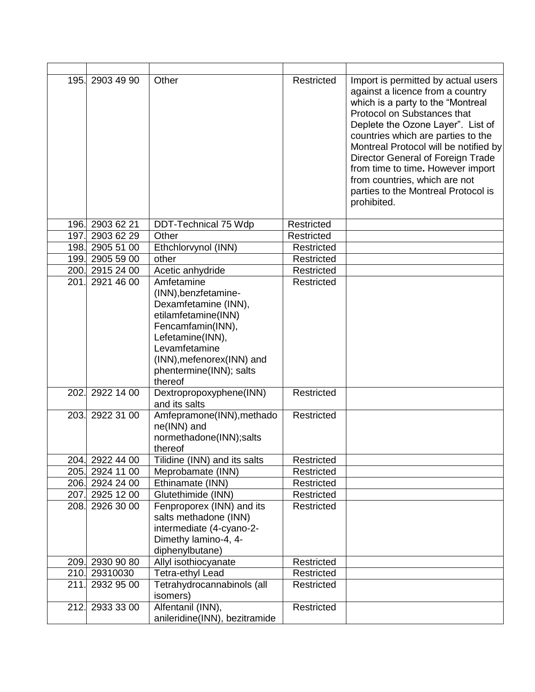|              | 195. 2903 49 90          | Other                                                                                                                                                                                                                                                       | Restricted               | Import is permitted by actual users<br>against a licence from a country<br>which is a party to the "Montreal<br>Protocol on Substances that<br>Deplete the Ozone Layer". List of<br>countries which are parties to the<br>Montreal Protocol will be notified by<br>Director General of Foreign Trade<br>from time to time. However import<br>from countries, which are not<br>parties to the Montreal Protocol is<br>prohibited. |
|--------------|--------------------------|-------------------------------------------------------------------------------------------------------------------------------------------------------------------------------------------------------------------------------------------------------------|--------------------------|----------------------------------------------------------------------------------------------------------------------------------------------------------------------------------------------------------------------------------------------------------------------------------------------------------------------------------------------------------------------------------------------------------------------------------|
|              | 196. 2903 62 21          | DDT-Technical 75 Wdp                                                                                                                                                                                                                                        | Restricted               |                                                                                                                                                                                                                                                                                                                                                                                                                                  |
|              | 197. 2903 62 29          | Other                                                                                                                                                                                                                                                       | Restricted               |                                                                                                                                                                                                                                                                                                                                                                                                                                  |
|              | 198. 2905 51 00          | Ethchlorvynol (INN)                                                                                                                                                                                                                                         | Restricted               |                                                                                                                                                                                                                                                                                                                                                                                                                                  |
|              | 199. 2905 59 00          | other                                                                                                                                                                                                                                                       | Restricted               |                                                                                                                                                                                                                                                                                                                                                                                                                                  |
|              | 200. 2915 24 00          | Acetic anhydride                                                                                                                                                                                                                                            | Restricted               |                                                                                                                                                                                                                                                                                                                                                                                                                                  |
| 201.<br>202. | 2921 46 00<br>2922 14 00 | Amfetamine<br>(INN), benzfetamine-<br>Dexamfetamine (INN),<br>etilamfetamine(INN)<br>Fencamfamin(INN),<br>Lefetamine(INN),<br>Levamfetamine<br>(INN), mefenorex (INN) and<br>phentermine(INN); salts<br>thereof<br>Dextropropoxyphene(INN)<br>and its salts | Restricted<br>Restricted |                                                                                                                                                                                                                                                                                                                                                                                                                                  |
|              | 203. 2922 31 00          | Amfepramone(INN), methado<br>ne(INN) and<br>normethadone(INN);salts<br>thereof                                                                                                                                                                              | Restricted               |                                                                                                                                                                                                                                                                                                                                                                                                                                  |
|              | 204. 2922 44 00          | Tilidine (INN) and its salts                                                                                                                                                                                                                                | Restricted               |                                                                                                                                                                                                                                                                                                                                                                                                                                  |
|              | 205. 2924 11 00          | Meprobamate (INN)                                                                                                                                                                                                                                           | Restricted               |                                                                                                                                                                                                                                                                                                                                                                                                                                  |
|              | 206. 2924 24 00          | Ethinamate (INN)                                                                                                                                                                                                                                            | Restricted               |                                                                                                                                                                                                                                                                                                                                                                                                                                  |
|              | 207. 2925 12 00          | Glutethimide (INN)                                                                                                                                                                                                                                          | Restricted               |                                                                                                                                                                                                                                                                                                                                                                                                                                  |
|              | 208. 2926 30 00          | Fenproporex (INN) and its<br>salts methadone (INN)<br>intermediate (4-cyano-2-<br>Dimethy lamino-4, 4-<br>diphenylbutane)                                                                                                                                   | Restricted               |                                                                                                                                                                                                                                                                                                                                                                                                                                  |
|              | 209. 2930 90 80          | Allyl isothiocyanate                                                                                                                                                                                                                                        | Restricted               |                                                                                                                                                                                                                                                                                                                                                                                                                                  |
|              | 210. 29310030            | Tetra-ethyl Lead                                                                                                                                                                                                                                            | Restricted               |                                                                                                                                                                                                                                                                                                                                                                                                                                  |
| 211.         | 2932 95 00               | Tetrahydrocannabinols (all<br>isomers)                                                                                                                                                                                                                      | Restricted               |                                                                                                                                                                                                                                                                                                                                                                                                                                  |
|              | 212. 2933 33 00          | Alfentanil (INN),<br>anileridine(INN), bezitramide                                                                                                                                                                                                          | Restricted               |                                                                                                                                                                                                                                                                                                                                                                                                                                  |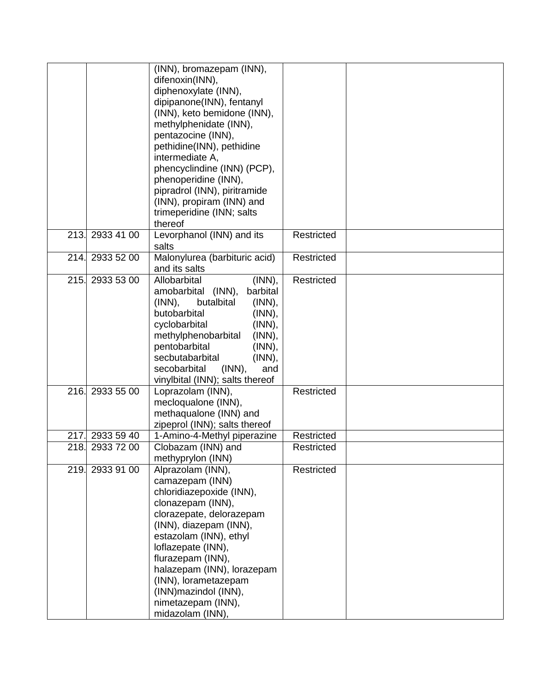|      |            | (INN), bromazepam (INN),             |            |  |
|------|------------|--------------------------------------|------------|--|
|      |            | difenoxin(INN),                      |            |  |
|      |            | diphenoxylate (INN),                 |            |  |
|      |            | dipipanone(INN), fentanyl            |            |  |
|      |            | (INN), keto bemidone (INN),          |            |  |
|      |            | methylphenidate (INN),               |            |  |
|      |            | pentazocine (INN),                   |            |  |
|      |            | pethidine(INN), pethidine            |            |  |
|      |            | intermediate A,                      |            |  |
|      |            | phencyclindine (INN) (PCP),          |            |  |
|      |            |                                      |            |  |
|      |            | phenoperidine (INN),                 |            |  |
|      |            | pipradrol (INN), piritramide         |            |  |
|      |            | (INN), propiram (INN) and            |            |  |
|      |            | trimeperidine (INN; salts            |            |  |
|      |            | thereof                              |            |  |
| 213. | 2933 41 00 | Levorphanol (INN) and its            | Restricted |  |
|      |            | salts                                |            |  |
| 214. | 2933 52 00 | Malonylurea (barbituric acid)        | Restricted |  |
|      |            | and its salts                        |            |  |
| 215. | 2933 53 00 | (INN),<br>Allobarbital               | Restricted |  |
|      |            | amobarbital (INN),<br>barbital       |            |  |
|      |            | $(INN)$ ,<br>butalbital<br>$(INN)$ , |            |  |
|      |            | butobarbital<br>(INN),               |            |  |
|      |            | (INN),<br>cyclobarbital              |            |  |
|      |            | methylphenobarbital<br>$(INN)$ ,     |            |  |
|      |            | pentobarbital<br>(INN),              |            |  |
|      |            | secbutabarbital<br>(INN),            |            |  |
|      |            | secobarbital<br>and<br>$(INN)$ ,     |            |  |
|      |            | vinylbital (INN); salts thereof      |            |  |
| 216. | 2933 55 00 | Loprazolam (INN),                    | Restricted |  |
|      |            | mecloqualone (INN),                  |            |  |
|      |            | methaqualone (INN) and               |            |  |
|      |            | zipeprol (INN); salts thereof        |            |  |
| 217. | 2933 59 40 | 1-Amino-4-Methyl piperazine          | Restricted |  |
| 218. | 2933 72 00 | Clobazam (INN) and                   | Restricted |  |
|      |            | methyprylon (INN)                    |            |  |
| 219. | 2933 91 00 | Alprazolam (INN),                    | Restricted |  |
|      |            | camazepam (INN)                      |            |  |
|      |            | chloridiazepoxide (INN),             |            |  |
|      |            | clonazepam (INN),                    |            |  |
|      |            | clorazepate, delorazepam             |            |  |
|      |            | (INN), diazepam (INN),               |            |  |
|      |            | estazolam (INN), ethyl               |            |  |
|      |            | loflazepate (INN),                   |            |  |
|      |            | flurazepam (INN),                    |            |  |
|      |            | halazepam (INN), lorazepam           |            |  |
|      |            | (INN), lorametazepam                 |            |  |
|      |            | (INN) mazindol (INN),                |            |  |
|      |            | nimetazepam (INN),                   |            |  |
|      |            | midazolam (INN),                     |            |  |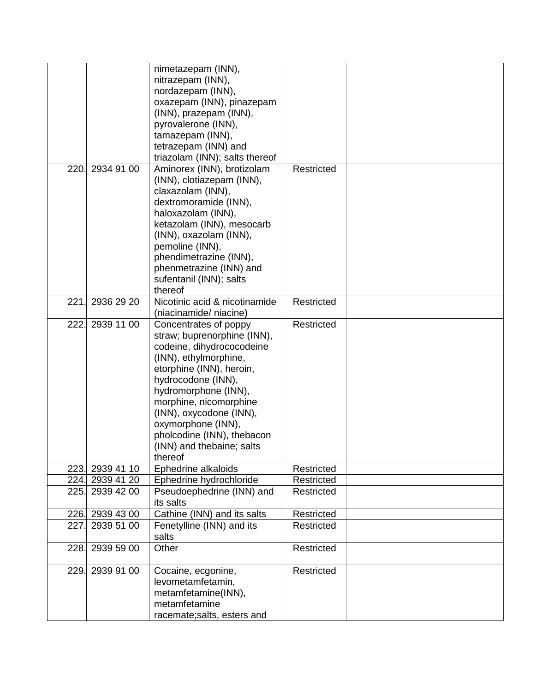|      |                 | nimetazepam (INN),<br>nitrazepam (INN),                  |            |  |
|------|-----------------|----------------------------------------------------------|------------|--|
|      |                 | nordazepam (INN),                                        |            |  |
|      |                 | oxazepam (INN), pinazepam                                |            |  |
|      |                 | (INN), prazepam (INN),                                   |            |  |
|      |                 | pyrovalerone (INN),                                      |            |  |
|      |                 | tamazepam (INN),                                         |            |  |
|      |                 | tetrazepam (INN) and                                     |            |  |
|      |                 | triazolam (INN); salts thereof                           |            |  |
| 220. | 2934 91 00      | Aminorex (INN), brotizolam                               | Restricted |  |
|      |                 | (INN), clotiazepam (INN),                                |            |  |
|      |                 | claxazolam (INN),                                        |            |  |
|      |                 | dextromoramide (INN),                                    |            |  |
|      |                 | haloxazolam (INN),                                       |            |  |
|      |                 | ketazolam (INN), mesocarb                                |            |  |
|      |                 | (INN), oxazolam (INN),                                   |            |  |
|      |                 | pemoline (INN),                                          |            |  |
|      |                 | phendimetrazine (INN),                                   |            |  |
|      |                 | phenmetrazine (INN) and                                  |            |  |
|      |                 | sufentanil (INN); salts                                  |            |  |
|      |                 | thereof                                                  |            |  |
| 221  | 2936 29 20      | Nicotinic acid & nicotinamide                            | Restricted |  |
|      | 2939 11 00      | (niacinamide/niacine)                                    | Restricted |  |
| 222. |                 | Concentrates of poppy                                    |            |  |
|      |                 | straw; buprenorphine (INN),<br>codeine, dihydrococodeine |            |  |
|      |                 |                                                          |            |  |
|      |                 | (INN), ethylmorphine,<br>etorphine (INN), heroin,        |            |  |
|      |                 | hydrocodone (INN),                                       |            |  |
|      |                 | hydromorphone (INN),                                     |            |  |
|      |                 | morphine, nicomorphine                                   |            |  |
|      |                 | (INN), oxycodone (INN),                                  |            |  |
|      |                 | oxymorphone (INN),                                       |            |  |
|      |                 | pholcodine (INN), thebacon                               |            |  |
|      |                 | (INN) and thebaine; salts                                |            |  |
|      |                 | thereof                                                  |            |  |
|      | 223. 2939 41 10 | Ephedrine alkaloids                                      | Restricted |  |
|      | 224. 2939 41 20 | Ephedrine hydrochloride                                  | Restricted |  |
|      | 225. 2939 42 00 | Pseudoephedrine (INN) and                                | Restricted |  |
|      |                 | its salts                                                |            |  |
|      | 226. 2939 43 00 | Cathine (INN) and its salts                              | Restricted |  |
| 227. | 2939 51 00      | Fenetylline (INN) and its                                | Restricted |  |
|      |                 | salts                                                    |            |  |
| 228. | 2939 59 00      | Other                                                    | Restricted |  |
| 229. | 2939 91 00      | Cocaine, ecgonine,                                       | Restricted |  |
|      |                 | levometamfetamin,                                        |            |  |
|      |                 | metamfetamine(INN),                                      |            |  |
|      |                 | metamfetamine                                            |            |  |
|      |                 | racemate; salts, esters and                              |            |  |
|      |                 |                                                          |            |  |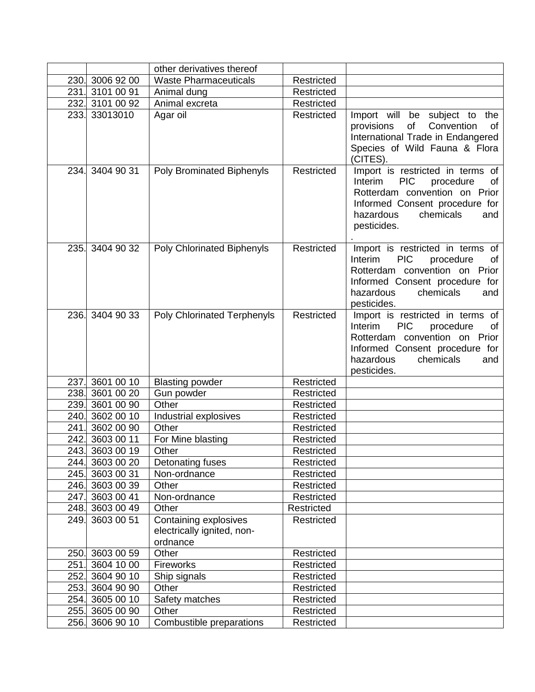|      |                 | other derivatives thereof                                       |                   |                                                                                                                                                                                                        |
|------|-----------------|-----------------------------------------------------------------|-------------------|--------------------------------------------------------------------------------------------------------------------------------------------------------------------------------------------------------|
|      | 230. 3006 92 00 | <b>Waste Pharmaceuticals</b>                                    | Restricted        |                                                                                                                                                                                                        |
|      | 231. 3101 00 91 | Animal dung                                                     | Restricted        |                                                                                                                                                                                                        |
|      | 232. 3101 00 92 | Animal excreta                                                  | Restricted        |                                                                                                                                                                                                        |
|      | 233. 33013010   | Agar oil                                                        | Restricted        | Import will be subject to the<br>of<br>Convention<br>provisions<br>0f<br>International Trade in Endangered<br>Species of Wild Fauna & Flora<br>(CITES).                                                |
|      | 234. 3404 90 31 | <b>Poly Brominated Biphenyls</b>                                | Restricted        | Import is restricted in terms of<br><b>PIC</b><br>Interim<br>procedure<br>0f<br>Rotterdam convention on Prior<br>Informed Consent procedure for<br>hazardous<br>chemicals<br>and<br>pesticides.        |
|      | 235. 3404 90 32 | <b>Poly Chlorinated Biphenyls</b>                               | Restricted        | Import is restricted in terms of<br><b>PIC</b><br>Interim<br>procedure<br>of<br>Rotterdam convention on Prior<br>Informed Consent procedure for<br>hazardous<br>chemicals<br>and<br>pesticides.        |
|      | 236. 3404 90 33 | <b>Poly Chlorinated Terphenyls</b>                              | Restricted        | Import is restricted in terms of<br><b>Interim</b><br><b>PIC</b><br>procedure<br>οf<br>Rotterdam convention on Prior<br>Informed Consent procedure for<br>hazardous<br>chemicals<br>and<br>pesticides. |
|      | 237. 3601 00 10 | <b>Blasting powder</b>                                          | Restricted        |                                                                                                                                                                                                        |
|      | 238. 3601 00 20 | Gun powder                                                      | Restricted        |                                                                                                                                                                                                        |
| 239. | 3601 00 90      | Other                                                           | Restricted        |                                                                                                                                                                                                        |
|      | 240. 3602 00 10 | Industrial explosives                                           | Restricted        |                                                                                                                                                                                                        |
| 241. | 3602 00 90      | Other                                                           | Restricted        |                                                                                                                                                                                                        |
|      | 242. 3603 00 11 | For Mine blasting                                               | <b>Restricted</b> |                                                                                                                                                                                                        |
|      | 243. 3603 00 19 | Other                                                           | Restricted        |                                                                                                                                                                                                        |
|      | 244. 3603 00 20 | Detonating fuses                                                | Restricted        |                                                                                                                                                                                                        |
|      | 245. 3603 00 31 | Non-ordnance                                                    | Restricted        |                                                                                                                                                                                                        |
|      | 246. 3603 00 39 | Other                                                           | Restricted        |                                                                                                                                                                                                        |
|      | 247. 3603 00 41 | Non-ordnance                                                    | Restricted        |                                                                                                                                                                                                        |
|      | 248. 3603 00 49 | Other                                                           | Restricted        |                                                                                                                                                                                                        |
|      | 249. 3603 00 51 | Containing explosives<br>electrically ignited, non-<br>ordnance | Restricted        |                                                                                                                                                                                                        |
|      | 250. 3603 00 59 | Other                                                           | Restricted        |                                                                                                                                                                                                        |
|      | 251. 3604 10 00 | Fireworks                                                       | Restricted        |                                                                                                                                                                                                        |
|      | 252. 3604 90 10 | Ship signals                                                    | Restricted        |                                                                                                                                                                                                        |
|      | 253. 3604 90 90 | Other                                                           | Restricted        |                                                                                                                                                                                                        |
|      | 254. 3605 00 10 | Safety matches                                                  | Restricted        |                                                                                                                                                                                                        |
|      | 255. 3605 00 90 | Other                                                           | Restricted        |                                                                                                                                                                                                        |
|      | 256. 3606 90 10 | Combustible preparations                                        | Restricted        |                                                                                                                                                                                                        |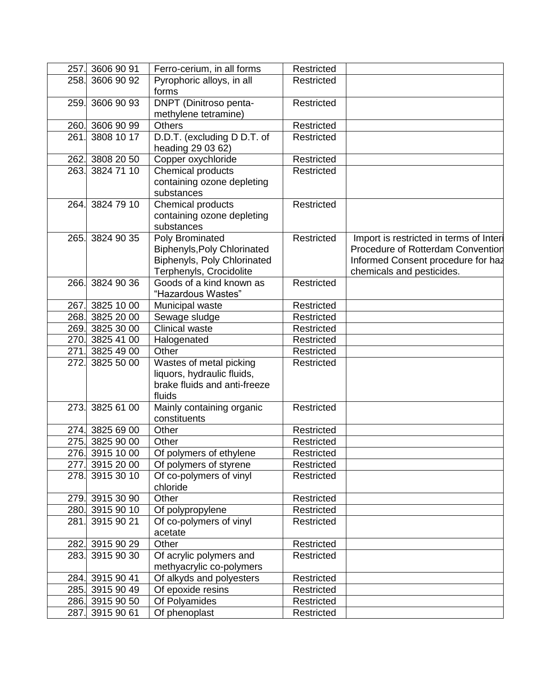| 257.         | 3606 90 91               | Ferro-cerium, in all forms                                                                                      | Restricted |                                                                                                                                                 |
|--------------|--------------------------|-----------------------------------------------------------------------------------------------------------------|------------|-------------------------------------------------------------------------------------------------------------------------------------------------|
| 258.         | 3606 90 92               | Pyrophoric alloys, in all                                                                                       | Restricted |                                                                                                                                                 |
|              |                          | forms                                                                                                           |            |                                                                                                                                                 |
| 259.         | 3606 90 93               | DNPT (Dinitroso penta-                                                                                          | Restricted |                                                                                                                                                 |
|              |                          | methylene tetramine)<br><b>Others</b>                                                                           |            |                                                                                                                                                 |
| 260.<br>261. | 3606 90 99<br>3808 10 17 |                                                                                                                 | Restricted |                                                                                                                                                 |
|              |                          | D.D.T. (excluding D D.T. of<br>heading 29 03 62)                                                                | Restricted |                                                                                                                                                 |
| 262.         | 3808 20 50               | Copper oxychloride                                                                                              | Restricted |                                                                                                                                                 |
| 263.         | 3824 71 10               | Chemical products<br>containing ozone depleting<br>substances                                                   | Restricted |                                                                                                                                                 |
| 264.         | 3824 79 10               | Chemical products<br>containing ozone depleting<br>substances                                                   | Restricted |                                                                                                                                                 |
| 265.         | 3824 90 35               | Poly Brominated<br><b>Biphenyls, Poly Chlorinated</b><br>Biphenyls, Poly Chlorinated<br>Terphenyls, Crocidolite | Restricted | Import is restricted in terms of Interi<br>Procedure of Rotterdam Convention<br>Informed Consent procedure for haz<br>chemicals and pesticides. |
| 266.         | 3824 90 36               | Goods of a kind known as<br>"Hazardous Wastes"                                                                  | Restricted |                                                                                                                                                 |
| 267.         | 3825 10 00               | Municipal waste                                                                                                 | Restricted |                                                                                                                                                 |
| 268.         | 3825 20 00               | Sewage sludge                                                                                                   | Restricted |                                                                                                                                                 |
| 269.         | 3825 30 00               | <b>Clinical waste</b>                                                                                           | Restricted |                                                                                                                                                 |
| 270.         | 3825 41 00               | Halogenated                                                                                                     | Restricted |                                                                                                                                                 |
| 271.         | 3825 49 00               | Other                                                                                                           | Restricted |                                                                                                                                                 |
| 272.         | 3825 50 00               | Wastes of metal picking<br>liquors, hydraulic fluids,<br>brake fluids and anti-freeze<br>fluids                 | Restricted |                                                                                                                                                 |
| 273.         | 3825 61 00               | Mainly containing organic<br>constituents                                                                       | Restricted |                                                                                                                                                 |
| 274.         | 3825 69 00               | Other                                                                                                           | Restricted |                                                                                                                                                 |
| 275.         | 3825 90 00               | Other                                                                                                           | Restricted |                                                                                                                                                 |
|              | 276. 3915 10 00          | Of polymers of ethylene                                                                                         | Restricted |                                                                                                                                                 |
| 277.         | 3915 20 00               | Of polymers of styrene                                                                                          | Restricted |                                                                                                                                                 |
| 278.         | 3915 30 10               | Of co-polymers of vinyl<br>chloride                                                                             | Restricted |                                                                                                                                                 |
|              | 279. 3915 30 90          | Other                                                                                                           | Restricted |                                                                                                                                                 |
|              | 280. 3915 90 10          | Of polypropylene                                                                                                | Restricted |                                                                                                                                                 |
| 281.         | 3915 90 21               | Of co-polymers of vinyl<br>acetate                                                                              | Restricted |                                                                                                                                                 |
| 282.         | 3915 90 29               | Other                                                                                                           | Restricted |                                                                                                                                                 |
| 283.         | 3915 90 30               | Of acrylic polymers and<br>methyacrylic co-polymers                                                             | Restricted |                                                                                                                                                 |
|              | 284. 3915 90 41          | Of alkyds and polyesters                                                                                        | Restricted |                                                                                                                                                 |
|              | 285. 3915 90 49          | Of epoxide resins                                                                                               | Restricted |                                                                                                                                                 |
|              | 286. 3915 90 50          | Of Polyamides                                                                                                   | Restricted |                                                                                                                                                 |
|              | 287. 3915 90 61          | Of phenoplast                                                                                                   | Restricted |                                                                                                                                                 |
|              |                          |                                                                                                                 |            |                                                                                                                                                 |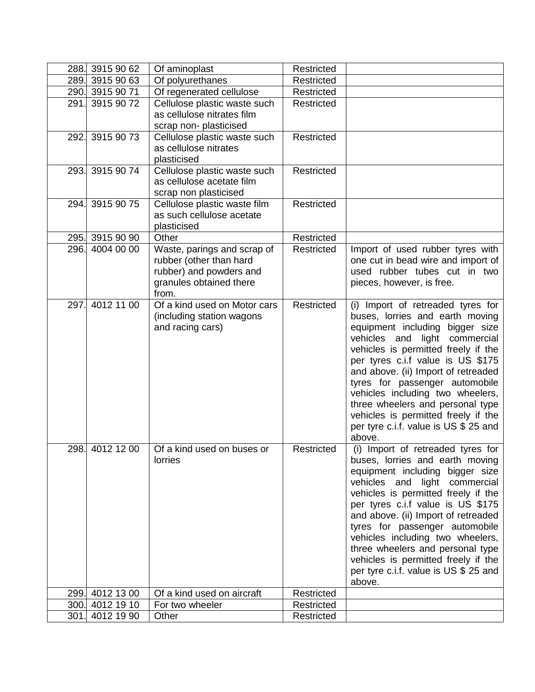|      | 288. 3915 90 62 | Of aminoplast                                             | Restricted |                                                                              |
|------|-----------------|-----------------------------------------------------------|------------|------------------------------------------------------------------------------|
|      | 289. 3915 90 63 | Of polyurethanes                                          | Restricted |                                                                              |
|      | 290. 3915 90 71 | Of regenerated cellulose                                  | Restricted |                                                                              |
| 291. | 3915 90 72      | Cellulose plastic waste such                              | Restricted |                                                                              |
|      |                 | as cellulose nitrates film                                |            |                                                                              |
|      |                 | scrap non- plasticised                                    |            |                                                                              |
| 292. | 3915 90 73      | Cellulose plastic waste such                              | Restricted |                                                                              |
|      |                 | as cellulose nitrates                                     |            |                                                                              |
|      |                 | plasticised                                               |            |                                                                              |
|      | 293. 3915 90 74 | Cellulose plastic waste such                              | Restricted |                                                                              |
|      |                 | as cellulose acetate film                                 |            |                                                                              |
|      |                 | scrap non plasticised                                     |            |                                                                              |
|      | 294. 3915 90 75 | Cellulose plastic waste film<br>as such cellulose acetate | Restricted |                                                                              |
|      |                 | plasticised                                               |            |                                                                              |
|      | 295. 3915 90 90 | Other                                                     | Restricted |                                                                              |
|      | 296. 4004 00 00 | Waste, parings and scrap of                               | Restricted | Import of used rubber tyres with                                             |
|      |                 | rubber (other than hard                                   |            | one cut in bead wire and import of                                           |
|      |                 | rubber) and powders and                                   |            | used rubber tubes cut in two                                                 |
|      |                 | granules obtained there                                   |            | pieces, however, is free.                                                    |
|      |                 | from.                                                     |            |                                                                              |
| 297. | 4012 11 00      | Of a kind used on Motor cars                              | Restricted | (i) Import of retreaded tyres for                                            |
|      |                 | (including station wagons                                 |            | buses, lorries and earth moving                                              |
|      |                 | and racing cars)                                          |            | equipment including bigger size                                              |
|      |                 |                                                           |            | vehicles and light commercial                                                |
|      |                 |                                                           |            | vehicles is permitted freely if the                                          |
|      |                 |                                                           |            | per tyres c.i.f value is US \$175                                            |
|      |                 |                                                           |            | and above. (ii) Import of retreaded                                          |
|      |                 |                                                           |            | tyres for passenger automobile                                               |
|      |                 |                                                           |            | vehicles including two wheelers,<br>three wheelers and personal type         |
|      |                 |                                                           |            | vehicles is permitted freely if the                                          |
|      |                 |                                                           |            | per tyre c.i.f. value is US \$ 25 and                                        |
|      |                 |                                                           |            | above.                                                                       |
|      | 298. 4012 12 00 | Of a kind used on buses or                                | Restricted | (i) Import of retreaded tyres for                                            |
|      |                 | lorries                                                   |            | buses, lorries and earth moving                                              |
|      |                 |                                                           |            | equipment including bigger size                                              |
|      |                 |                                                           |            | vehicles and<br>light commercial                                             |
|      |                 |                                                           |            | vehicles is permitted freely if the                                          |
|      |                 |                                                           |            | per tyres c.i.f value is US \$175                                            |
|      |                 |                                                           |            | and above. (ii) Import of retreaded                                          |
|      |                 |                                                           |            | tyres for passenger automobile                                               |
|      |                 |                                                           |            | vehicles including two wheelers,                                             |
|      |                 |                                                           |            | three wheelers and personal type                                             |
|      |                 |                                                           |            | vehicles is permitted freely if the<br>per tyre c.i.f. value is US \$ 25 and |
|      |                 |                                                           |            | above.                                                                       |
|      | 299. 4012 13 00 | Of a kind used on aircraft                                | Restricted |                                                                              |
|      | 300. 4012 19 10 | For two wheeler                                           | Restricted |                                                                              |
|      | 301. 4012 19 90 | Other                                                     | Restricted |                                                                              |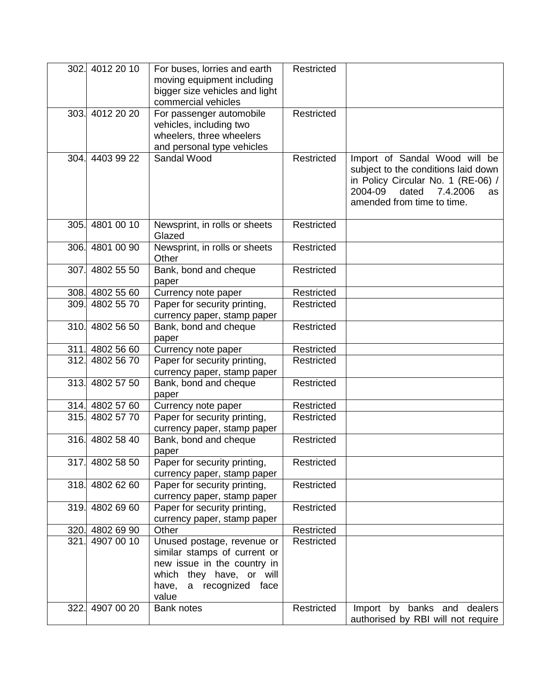| 302. | 4012 20 10      | For buses, lorries and earth   | Restricted        |                                     |
|------|-----------------|--------------------------------|-------------------|-------------------------------------|
|      |                 | moving equipment including     |                   |                                     |
|      |                 | bigger size vehicles and light |                   |                                     |
|      |                 | commercial vehicles            |                   |                                     |
|      | 303. 4012 20 20 | For passenger automobile       | Restricted        |                                     |
|      |                 | vehicles, including two        |                   |                                     |
|      |                 | wheelers, three wheelers       |                   |                                     |
|      |                 | and personal type vehicles     |                   |                                     |
|      | 304. 4403 99 22 | Sandal Wood                    | Restricted        | Import of Sandal Wood will be       |
|      |                 |                                |                   | subject to the conditions laid down |
|      |                 |                                |                   | in Policy Circular No. 1 (RE-06) /  |
|      |                 |                                |                   | 2004-09<br>dated<br>7.4.2006<br>as  |
|      |                 |                                |                   | amended from time to time.          |
|      |                 |                                |                   |                                     |
|      | 305. 4801 00 10 | Newsprint, in rolls or sheets  | Restricted        |                                     |
|      |                 | Glazed                         |                   |                                     |
|      | 306. 4801 00 90 | Newsprint, in rolls or sheets  | Restricted        |                                     |
|      |                 | Other                          |                   |                                     |
| 307. | 4802 55 50      | Bank, bond and cheque          | <b>Restricted</b> |                                     |
|      |                 | paper                          |                   |                                     |
|      | 308. 4802 55 60 | Currency note paper            | Restricted        |                                     |
|      | 309. 4802 55 70 | Paper for security printing,   | <b>Restricted</b> |                                     |
|      |                 | currency paper, stamp paper    |                   |                                     |
| 310. | 4802 56 50      | Bank, bond and cheque          | Restricted        |                                     |
|      |                 | paper                          |                   |                                     |
|      | 311. 4802 56 60 | Currency note paper            | Restricted        |                                     |
| 312. | 4802 56 70      | Paper for security printing,   | Restricted        |                                     |
|      |                 | currency paper, stamp paper    |                   |                                     |
| 313. | 4802 57 50      | Bank, bond and cheque          | Restricted        |                                     |
|      |                 | paper                          |                   |                                     |
|      | 314. 4802 57 60 | Currency note paper            | Restricted        |                                     |
|      | 315. 4802 57 70 | Paper for security printing,   | <b>Restricted</b> |                                     |
|      |                 | currency paper, stamp paper    |                   |                                     |
| 316. | 4802 58 40      | Bank, bond and cheque          | Restricted        |                                     |
|      |                 | paper                          |                   |                                     |
| 317. | 4802 58 50      | Paper for security printing,   | Restricted        |                                     |
|      |                 | currency paper, stamp paper    |                   |                                     |
| 318. | 4802 62 60      | Paper for security printing,   | Restricted        |                                     |
|      |                 | currency paper, stamp paper    |                   |                                     |
| 319. | 4802 69 60      | Paper for security printing,   | Restricted        |                                     |
|      |                 | currency paper, stamp paper    |                   |                                     |
|      | 320. 4802 69 90 | Other                          | Restricted        |                                     |
| 321. | 4907 00 10      | Unused postage, revenue or     | Restricted        |                                     |
|      |                 | similar stamps of current or   |                   |                                     |
|      |                 | new issue in the country in    |                   |                                     |
|      |                 | which they have, or will       |                   |                                     |
|      |                 | a recognized face<br>have,     |                   |                                     |
|      |                 | value                          |                   |                                     |
| 322. | 4907 00 20      | <b>Bank notes</b>              | Restricted        | Import by banks and dealers         |
|      |                 |                                |                   | authorised by RBI will not require  |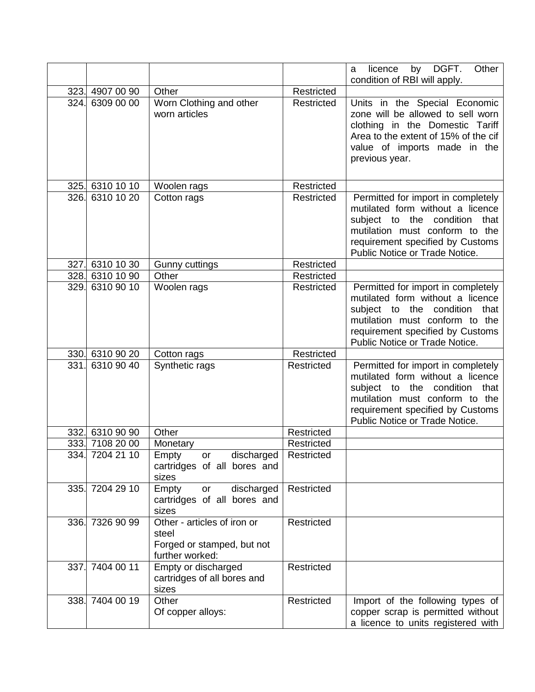|      |                 |                                                                                       |            | Other<br>licence<br>DGFT.<br>by<br>a                                                                                                                                                                            |
|------|-----------------|---------------------------------------------------------------------------------------|------------|-----------------------------------------------------------------------------------------------------------------------------------------------------------------------------------------------------------------|
|      | 323. 4907 00 90 | Other                                                                                 | Restricted | condition of RBI will apply.                                                                                                                                                                                    |
|      | 324. 6309 00 00 |                                                                                       | Restricted |                                                                                                                                                                                                                 |
|      |                 | Worn Clothing and other<br>worn articles                                              |            | Units in the Special Economic<br>zone will be allowed to sell worn<br>clothing in the Domestic Tariff<br>Area to the extent of 15% of the cif<br>value of imports made in the<br>previous year.                 |
|      | 325. 6310 10 10 | Woolen rags                                                                           | Restricted |                                                                                                                                                                                                                 |
|      | 326. 6310 10 20 | Cotton rags                                                                           | Restricted | Permitted for import in completely<br>mutilated form without a licence<br>subject to the condition that<br>mutilation must conform to the<br>requirement specified by Customs<br>Public Notice or Trade Notice. |
|      | 327. 6310 10 30 | <b>Gunny cuttings</b>                                                                 | Restricted |                                                                                                                                                                                                                 |
|      | 328. 6310 10 90 | Other                                                                                 | Restricted |                                                                                                                                                                                                                 |
|      | 329. 6310 90 10 | Woolen rags                                                                           | Restricted | Permitted for import in completely<br>mutilated form without a licence<br>subject to the condition that<br>mutilation must conform to the<br>requirement specified by Customs<br>Public Notice or Trade Notice. |
|      | 330. 6310 90 20 | Cotton rags                                                                           | Restricted |                                                                                                                                                                                                                 |
|      | 331. 6310 90 40 | Synthetic rags                                                                        | Restricted | Permitted for import in completely<br>mutilated form without a licence<br>subject to the condition that<br>mutilation must conform to the<br>requirement specified by Customs<br>Public Notice or Trade Notice. |
|      | 332. 6310 90 90 | Other                                                                                 | Restricted |                                                                                                                                                                                                                 |
|      | 333. 7108 20 00 | Monetary                                                                              | Restricted |                                                                                                                                                                                                                 |
|      | 334. 7204 21 10 | Empty<br>or discharged<br>cartridges of all bores and<br>sizes                        | Restricted |                                                                                                                                                                                                                 |
|      | 335. 7204 29 10 | discharged<br>Empty<br>or<br>cartridges of all bores and<br>sizes                     | Restricted |                                                                                                                                                                                                                 |
| 336. | 7326 90 99      | Other - articles of iron or<br>steel<br>Forged or stamped, but not<br>further worked: | Restricted |                                                                                                                                                                                                                 |
| 337. | 7404 00 11      | Empty or discharged<br>cartridges of all bores and<br>sizes                           | Restricted |                                                                                                                                                                                                                 |
|      | 338. 7404 00 19 | Other                                                                                 | Restricted | Import of the following types of                                                                                                                                                                                |
|      |                 | Of copper alloys:                                                                     |            | copper scrap is permitted without                                                                                                                                                                               |
|      |                 |                                                                                       |            | a licence to units registered with                                                                                                                                                                              |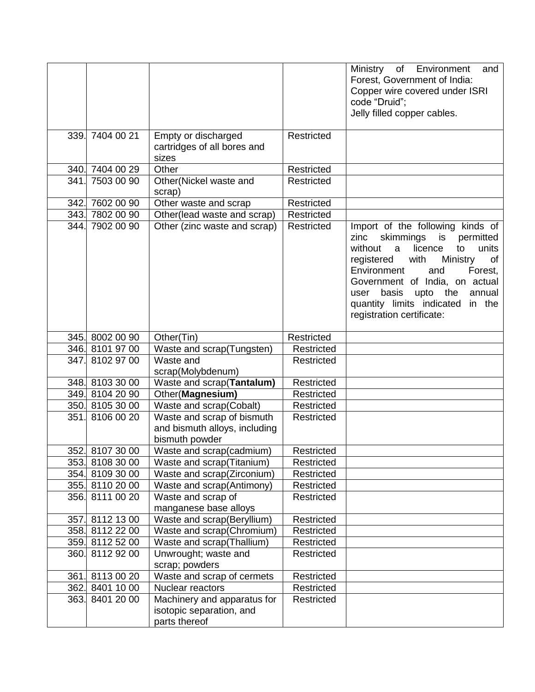|                 |                                                                               |            | Ministry of Environment<br>and<br>Forest, Government of India:<br>Copper wire covered under ISRI<br>code "Druid";<br>Jelly filled copper cables.                                                                                                                                                                                      |
|-----------------|-------------------------------------------------------------------------------|------------|---------------------------------------------------------------------------------------------------------------------------------------------------------------------------------------------------------------------------------------------------------------------------------------------------------------------------------------|
| 339. 7404 00 21 | Empty or discharged<br>cartridges of all bores and<br>sizes                   | Restricted |                                                                                                                                                                                                                                                                                                                                       |
| 340. 7404 00 29 | Other                                                                         | Restricted |                                                                                                                                                                                                                                                                                                                                       |
| 341. 7503 00 90 | Other(Nickel waste and<br>scrap)                                              | Restricted |                                                                                                                                                                                                                                                                                                                                       |
| 342. 7602 00 90 | Other waste and scrap                                                         | Restricted |                                                                                                                                                                                                                                                                                                                                       |
| 343. 7802 00 90 | Other(lead waste and scrap)                                                   | Restricted |                                                                                                                                                                                                                                                                                                                                       |
| 344. 7902 00 90 | Other (zinc waste and scrap)                                                  | Restricted | Import of the following kinds of<br>skimmings<br>is<br>permitted<br>zinc<br>without<br>licence<br>units<br>a<br>to<br>Ministry<br>registered<br>with<br>of<br>and<br>Environment<br>Forest,<br>Government of India, on actual<br>annual<br>basis upto the<br>user<br>quantity limits indicated<br>in the<br>registration certificate: |
| 345. 8002 00 90 | Other(Tin)                                                                    | Restricted |                                                                                                                                                                                                                                                                                                                                       |
| 346. 8101 97 00 | Waste and scrap(Tungsten)                                                     | Restricted |                                                                                                                                                                                                                                                                                                                                       |
| 347. 8102 97 00 | Waste and<br>scrap(Molybdenum)                                                | Restricted |                                                                                                                                                                                                                                                                                                                                       |
| 348. 8103 30 00 | Waste and scrap(Tantalum)                                                     | Restricted |                                                                                                                                                                                                                                                                                                                                       |
| 349. 8104 20 90 | Other(Magnesium)                                                              | Restricted |                                                                                                                                                                                                                                                                                                                                       |
| 350. 8105 30 00 | Waste and scrap(Cobalt)                                                       | Restricted |                                                                                                                                                                                                                                                                                                                                       |
| 351. 8106 00 20 | Waste and scrap of bismuth<br>and bismuth alloys, including<br>bismuth powder | Restricted |                                                                                                                                                                                                                                                                                                                                       |
| 352. 8107 30 00 | Waste and scrap(cadmium)                                                      | Restricted |                                                                                                                                                                                                                                                                                                                                       |
| 353. 8108 30 00 | Waste and scrap(Titanium)                                                     | Restricted |                                                                                                                                                                                                                                                                                                                                       |
| 354. 8109 30 00 | Waste and scrap(Zirconium)                                                    | Restricted |                                                                                                                                                                                                                                                                                                                                       |
| 355. 8110 20 00 | Waste and scrap(Antimony)                                                     | Restricted |                                                                                                                                                                                                                                                                                                                                       |
| 356. 8111 00 20 | Waste and scrap of<br>manganese base alloys                                   | Restricted |                                                                                                                                                                                                                                                                                                                                       |
| 357. 8112 13 00 | Waste and scrap(Beryllium)                                                    | Restricted |                                                                                                                                                                                                                                                                                                                                       |
| 358. 8112 22 00 | Waste and scrap(Chromium)                                                     | Restricted |                                                                                                                                                                                                                                                                                                                                       |
| 359. 8112 52 00 | Waste and scrap(Thallium)                                                     | Restricted |                                                                                                                                                                                                                                                                                                                                       |
| 360. 8112 92 00 | Unwrought; waste and<br>scrap; powders                                        | Restricted |                                                                                                                                                                                                                                                                                                                                       |
| 361. 8113 00 20 | Waste and scrap of cermets                                                    | Restricted |                                                                                                                                                                                                                                                                                                                                       |
| 362. 8401 10 00 | Nuclear reactors                                                              | Restricted |                                                                                                                                                                                                                                                                                                                                       |
| 363. 8401 20 00 | Machinery and apparatus for<br>isotopic separation, and                       | Restricted |                                                                                                                                                                                                                                                                                                                                       |
|                 | parts thereof                                                                 |            |                                                                                                                                                                                                                                                                                                                                       |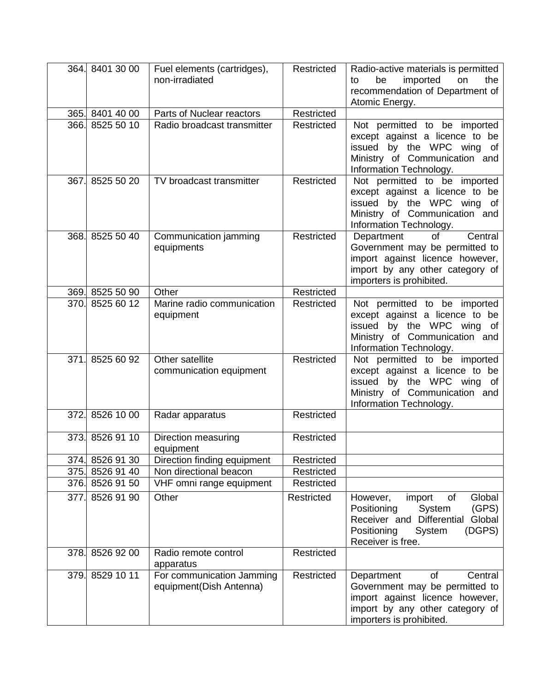|      | 364. 8401 30 00 | Fuel elements (cartridges),<br>non-irradiated        | Restricted | Radio-active materials is permitted<br>imported<br>be<br>on<br>the<br>to<br>recommendation of Department of<br>Atomic Energy.                                          |
|------|-----------------|------------------------------------------------------|------------|------------------------------------------------------------------------------------------------------------------------------------------------------------------------|
|      | 365. 8401 40 00 | Parts of Nuclear reactors                            | Restricted |                                                                                                                                                                        |
|      | 366. 8525 50 10 | Radio broadcast transmitter                          | Restricted | Not permitted to be imported<br>except against a licence to be<br>issued by the WPC wing of<br>Ministry of Communication and<br>Information Technology.                |
| 367. | 8525 50 20      | TV broadcast transmitter                             | Restricted | Not permitted to be imported<br>except against a licence to be<br>issued by the WPC wing of<br>Ministry of Communication and<br>Information Technology.                |
|      | 368. 8525 50 40 | Communication jamming<br>equipments                  | Restricted | Department<br><b>of</b><br>Central<br>Government may be permitted to<br>import against licence however,<br>import by any other category of<br>importers is prohibited. |
|      | 369. 8525 50 90 | Other                                                | Restricted |                                                                                                                                                                        |
|      | 370. 8525 60 12 | Marine radio communication<br>equipment              | Restricted | Not permitted to be imported<br>except against a licence to be<br>issued by the WPC wing of<br>Ministry of Communication and<br>Information Technology.                |
| 371. | 8525 60 92      | Other satellite<br>communication equipment           | Restricted | Not permitted to be imported<br>except against a licence to be<br>issued by the WPC wing of<br>Ministry of Communication and<br>Information Technology.                |
|      | 372. 8526 10 00 | Radar apparatus                                      | Restricted |                                                                                                                                                                        |
|      | 373. 8526 91 10 | Direction measuring<br>equipment                     | Restricted |                                                                                                                                                                        |
|      | 374. 8526 91 30 | Direction finding equipment                          | Restricted |                                                                                                                                                                        |
|      | 375. 8526 91 40 | Non directional beacon                               | Restricted |                                                                                                                                                                        |
|      | 376. 8526 91 50 | VHF omni range equipment                             | Restricted |                                                                                                                                                                        |
| 377. | 8526 91 90      | Other                                                | Restricted | of<br>Global<br>import<br>However,<br>Positioning<br>System<br>(GPS)<br>Receiver and Differential<br>Global<br>Positioning<br>System<br>(DGPS)<br>Receiver is free.    |
|      | 378. 8526 92 00 | Radio remote control<br>apparatus                    | Restricted |                                                                                                                                                                        |
|      | 379. 8529 10 11 | For communication Jamming<br>equipment(Dish Antenna) | Restricted | of<br>Central<br>Department<br>Government may be permitted to<br>import against licence however,<br>import by any other category of<br>importers is prohibited.        |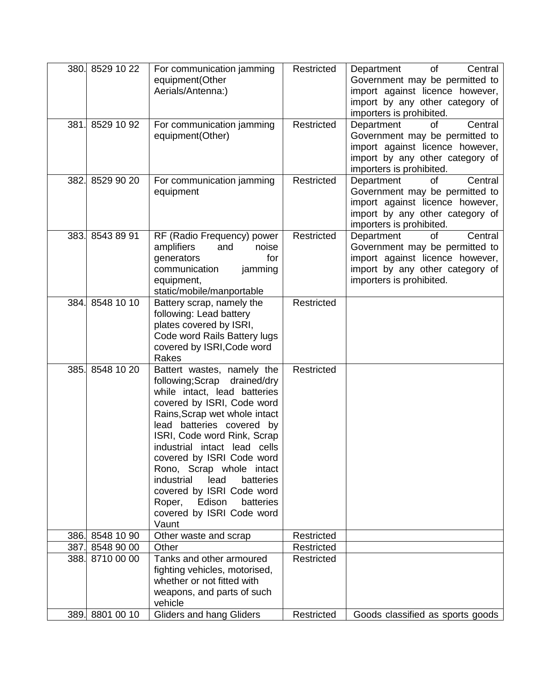|      | 380. 8529 10 22                    | For communication jamming<br>equipment(Other<br>Aerials/Antenna:)                                                                                                                                                                                                                                                                                                                                                                                 | Restricted               | of<br>Central<br>Department<br>Government may be permitted to<br>import against licence however,<br>import by any other category of<br>importers is prohibited. |
|------|------------------------------------|---------------------------------------------------------------------------------------------------------------------------------------------------------------------------------------------------------------------------------------------------------------------------------------------------------------------------------------------------------------------------------------------------------------------------------------------------|--------------------------|-----------------------------------------------------------------------------------------------------------------------------------------------------------------|
| 381. | 8529 10 92                         | For communication jamming<br>equipment(Other)                                                                                                                                                                                                                                                                                                                                                                                                     | Restricted               | Department<br>of<br>Central<br>Government may be permitted to<br>import against licence however,<br>import by any other category of<br>importers is prohibited. |
| 382. | 8529 90 20                         | For communication jamming<br>equipment                                                                                                                                                                                                                                                                                                                                                                                                            | Restricted               | Central<br>Department<br>of<br>Government may be permitted to<br>import against licence however,<br>import by any other category of<br>importers is prohibited. |
|      | 383. 8543 89 91                    | RF (Radio Frequency) power<br>and<br>amplifiers<br>noise<br>generators<br>for<br>communication<br>jamming<br>equipment,<br>static/mobile/manportable                                                                                                                                                                                                                                                                                              | Restricted               | Department<br>Central<br>οf<br>Government may be permitted to<br>import against licence however,<br>import by any other category of<br>importers is prohibited. |
| 384. | 8548 10 10                         | Battery scrap, namely the<br>following: Lead battery<br>plates covered by ISRI,<br>Code word Rails Battery lugs<br>covered by ISRI, Code word<br>Rakes                                                                                                                                                                                                                                                                                            | Restricted               |                                                                                                                                                                 |
| 385. | 8548 10 20                         | Battert wastes, namely the<br>following;Scrap drained/dry<br>while intact, lead batteries<br>covered by ISRI, Code word<br>Rains, Scrap wet whole intact<br>lead batteries covered by<br>ISRI, Code word Rink, Scrap<br>industrial intact lead cells<br>covered by ISRI Code word<br>Rono, Scrap whole intact<br>industrial<br>lead<br>batteries<br>covered by ISRI Code word<br>Roper, Edison<br>batteries<br>covered by ISRI Code word<br>Vaunt | Restricted               |                                                                                                                                                                 |
|      | 386. 8548 10 90                    | Other waste and scrap                                                                                                                                                                                                                                                                                                                                                                                                                             | Restricted               |                                                                                                                                                                 |
|      | 387. 8548 90 00                    | Other                                                                                                                                                                                                                                                                                                                                                                                                                                             | Restricted               |                                                                                                                                                                 |
|      | 388. 8710 00 00<br>389. 8801 00 10 | Tanks and other armoured<br>fighting vehicles, motorised,<br>whether or not fitted with<br>weapons, and parts of such<br>vehicle<br><b>Gliders and hang Gliders</b>                                                                                                                                                                                                                                                                               | Restricted<br>Restricted | Goods classified as sports goods                                                                                                                                |
|      |                                    |                                                                                                                                                                                                                                                                                                                                                                                                                                                   |                          |                                                                                                                                                                 |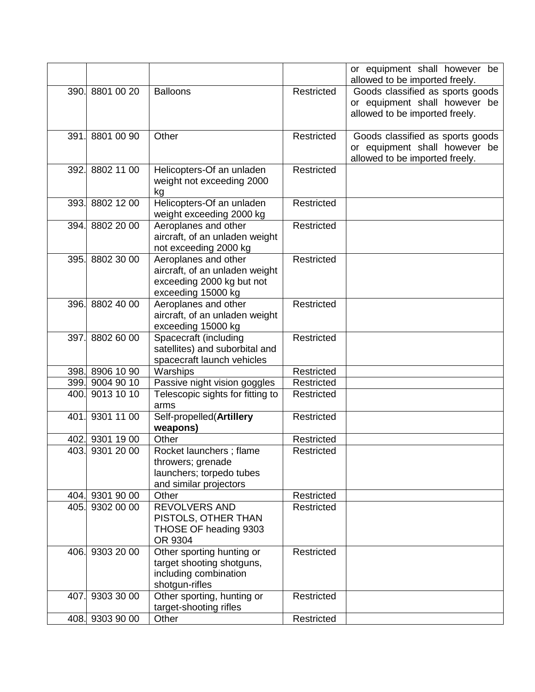|      |                 |                                                             |            | or equipment shall however be<br>allowed to be imported freely. |
|------|-----------------|-------------------------------------------------------------|------------|-----------------------------------------------------------------|
|      | 390. 8801 00 20 | <b>Balloons</b>                                             | Restricted | Goods classified as sports goods                                |
|      |                 |                                                             |            | or equipment shall however be                                   |
|      |                 |                                                             |            | allowed to be imported freely.                                  |
|      |                 |                                                             |            |                                                                 |
| 391. | 8801 00 90      | Other                                                       | Restricted | Goods classified as sports goods                                |
|      |                 |                                                             |            | or equipment shall however be                                   |
|      |                 |                                                             |            | allowed to be imported freely.                                  |
|      | 392. 8802 11 00 | Helicopters-Of an unladen                                   | Restricted |                                                                 |
|      |                 | weight not exceeding 2000                                   |            |                                                                 |
|      |                 | kg                                                          |            |                                                                 |
|      | 393. 8802 12 00 | Helicopters-Of an unladen                                   | Restricted |                                                                 |
|      |                 | weight exceeding 2000 kg                                    |            |                                                                 |
|      | 394. 8802 20 00 | Aeroplanes and other                                        | Restricted |                                                                 |
|      |                 | aircraft, of an unladen weight                              |            |                                                                 |
|      |                 | not exceeding 2000 kg                                       |            |                                                                 |
|      | 395. 8802 30 00 | Aeroplanes and other                                        | Restricted |                                                                 |
|      |                 | aircraft, of an unladen weight<br>exceeding 2000 kg but not |            |                                                                 |
|      |                 | exceeding 15000 kg                                          |            |                                                                 |
|      | 396. 8802 40 00 | Aeroplanes and other                                        | Restricted |                                                                 |
|      |                 | aircraft, of an unladen weight                              |            |                                                                 |
|      |                 | exceeding 15000 kg                                          |            |                                                                 |
| 397. | 8802 60 00      | Spacecraft (including                                       | Restricted |                                                                 |
|      |                 | satellites) and suborbital and                              |            |                                                                 |
|      |                 | spacecraft launch vehicles                                  |            |                                                                 |
|      | 398. 8906 10 90 | Warships                                                    | Restricted |                                                                 |
|      | 399. 9004 90 10 | Passive night vision goggles                                | Restricted |                                                                 |
|      | 400. 9013 10 10 | Telescopic sights for fitting to                            | Restricted |                                                                 |
|      |                 | arms                                                        |            |                                                                 |
| 401. | 9301 11 00      | Self-propelled(Artillery                                    | Restricted |                                                                 |
|      |                 | weapons)                                                    |            |                                                                 |
|      | 402. 9301 19 00 | Other                                                       | Restricted |                                                                 |
|      | 403. 9301 20 00 | Rocket launchers; flame                                     | Restricted |                                                                 |
|      |                 | throwers; grenade                                           |            |                                                                 |
|      |                 | launchers; torpedo tubes                                    |            |                                                                 |
|      |                 | and similar projectors                                      |            |                                                                 |
|      | 404. 9301 90 00 | Other                                                       | Restricted |                                                                 |
|      | 405. 9302 00 00 | <b>REVOLVERS AND</b>                                        | Restricted |                                                                 |
|      |                 | PISTOLS, OTHER THAN                                         |            |                                                                 |
|      |                 | THOSE OF heading 9303<br>OR 9304                            |            |                                                                 |
|      | 406. 9303 20 00 | Other sporting hunting or                                   | Restricted |                                                                 |
|      |                 | target shooting shotguns,                                   |            |                                                                 |
|      |                 | including combination                                       |            |                                                                 |
|      |                 | shotgun-rifles                                              |            |                                                                 |
| 407. | 9303 30 00      | Other sporting, hunting or                                  | Restricted |                                                                 |
|      |                 | target-shooting rifles                                      |            |                                                                 |
|      | 408. 9303 90 00 | Other                                                       | Restricted |                                                                 |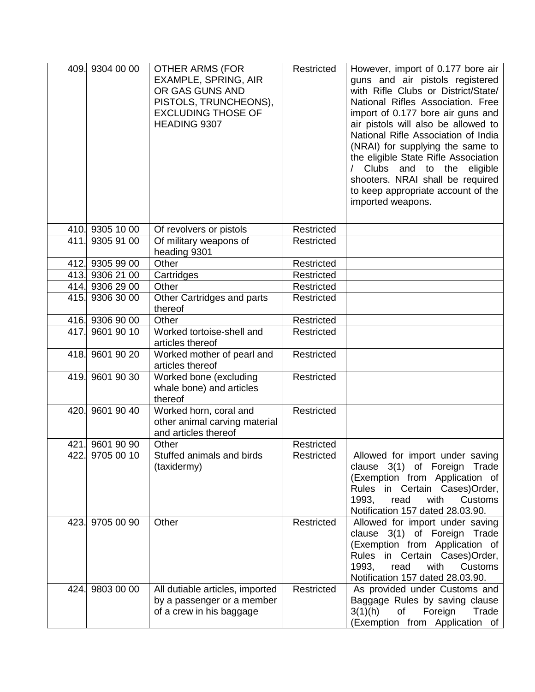|      | 409. 9304 00 00 | <b>OTHER ARMS (FOR</b><br>EXAMPLE, SPRING, AIR<br>OR GAS GUNS AND<br>PISTOLS, TRUNCHEONS),<br><b>EXCLUDING THOSE OF</b><br>HEADING 9307 | Restricted | However, import of 0.177 bore air<br>guns and air pistols registered<br>with Rifle Clubs or District/State/<br>National Rifles Association. Free<br>import of 0.177 bore air guns and<br>air pistols will also be allowed to<br>National Rifle Association of India<br>(NRAI) for supplying the same to<br>the eligible State Rifle Association<br>Clubs and to the<br>eligible<br>shooters. NRAI shall be required<br>to keep appropriate account of the<br>imported weapons. |
|------|-----------------|-----------------------------------------------------------------------------------------------------------------------------------------|------------|--------------------------------------------------------------------------------------------------------------------------------------------------------------------------------------------------------------------------------------------------------------------------------------------------------------------------------------------------------------------------------------------------------------------------------------------------------------------------------|
|      | 410. 9305 10 00 | Of revolvers or pistols                                                                                                                 | Restricted |                                                                                                                                                                                                                                                                                                                                                                                                                                                                                |
| 411. | 9305 91 00      | Of military weapons of<br>heading 9301                                                                                                  | Restricted |                                                                                                                                                                                                                                                                                                                                                                                                                                                                                |
|      | 412. 9305 99 00 | Other                                                                                                                                   | Restricted |                                                                                                                                                                                                                                                                                                                                                                                                                                                                                |
|      | 413. 9306 21 00 | Cartridges                                                                                                                              | Restricted |                                                                                                                                                                                                                                                                                                                                                                                                                                                                                |
|      | 414. 9306 29 00 | Other                                                                                                                                   | Restricted |                                                                                                                                                                                                                                                                                                                                                                                                                                                                                |
|      | 415. 9306 30 00 | Other Cartridges and parts<br>thereof                                                                                                   | Restricted |                                                                                                                                                                                                                                                                                                                                                                                                                                                                                |
|      | 416. 9306 90 00 | Other                                                                                                                                   | Restricted |                                                                                                                                                                                                                                                                                                                                                                                                                                                                                |
|      | 417. 9601 90 10 | Worked tortoise-shell and<br>articles thereof                                                                                           | Restricted |                                                                                                                                                                                                                                                                                                                                                                                                                                                                                |
|      | 418. 9601 90 20 | Worked mother of pearl and<br>articles thereof                                                                                          | Restricted |                                                                                                                                                                                                                                                                                                                                                                                                                                                                                |
|      | 419. 9601 90 30 | Worked bone (excluding<br>whale bone) and articles<br>thereof                                                                           | Restricted |                                                                                                                                                                                                                                                                                                                                                                                                                                                                                |
| 420. | 9601 90 40      | Worked horn, coral and<br>other animal carving material<br>and articles thereof                                                         | Restricted |                                                                                                                                                                                                                                                                                                                                                                                                                                                                                |
|      | 421. 9601 90 90 | Other                                                                                                                                   | Restricted |                                                                                                                                                                                                                                                                                                                                                                                                                                                                                |
|      | 422. 9705 00 10 | Stuffed animals and birds<br>(taxidermy)                                                                                                | Restricted | Allowed for import under saving<br>clause 3(1) of Foreign<br>Trade<br>(Exemption from Application of<br>Rules in Certain Cases) Order,<br>1993,<br>read<br>with<br>Customs<br>Notification 157 dated 28.03.90.                                                                                                                                                                                                                                                                 |
| 423. | 9705 00 90      | Other                                                                                                                                   | Restricted | Allowed for import under saving<br>clause 3(1) of Foreign Trade<br>(Exemption from Application of<br>Rules in Certain Cases) Order,<br>1993.<br>with<br><b>Customs</b><br>read<br>Notification 157 dated 28.03.90.                                                                                                                                                                                                                                                             |
| 424. | 9803 00 00      | All dutiable articles, imported<br>by a passenger or a member<br>of a crew in his baggage                                               | Restricted | As provided under Customs and<br>Baggage Rules by saving clause<br>of<br>3(1)(h)<br>Foreign<br>Trade<br>(Exemption from Application of                                                                                                                                                                                                                                                                                                                                         |